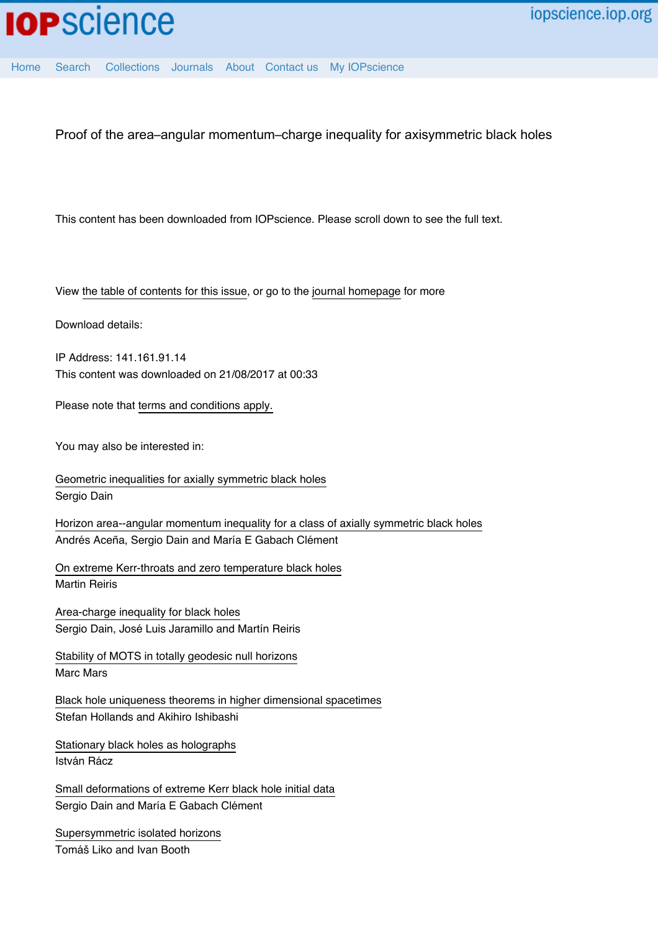

[Home](http://iopscience.iop.org/) [Search](http://iopscience.iop.org/search) [Collections](http://iopscience.iop.org/collections) [Journals](http://iopscience.iop.org/journals) [About](http://iopscience.iop.org/page/aboutioppublishing) [Contact us](http://iopscience.iop.org/contact) [My IOPscience](http://iopscience.iop.org/myiopscience)

Proof of the area–angular momentum–charge inequality for axisymmetric black holes

This content has been downloaded from IOPscience. Please scroll down to see the full text.

View [the table of contents for this issue](http://iopscience.iop.org/0264-9381/30/6), or go to the [journal homepage](http://iopscience.iop.org/0264-9381) for more

Download details:

IP Address: 141.161.91.14 This content was downloaded on 21/08/2017 at 00:33

Please note that [terms and conditions apply.](http://iopscience.iop.org/page/terms)

You may also be interested in:

[Geometric inequalities for axially symmetric black holes](http://iopscience.iop.org/article/10.1088/0264-9381/29/7/073001) Sergio Dain

[Horizon area--angular momentum inequality for a class of axially symmetric black holes](http://iopscience.iop.org/article/10.1088/0264-9381/28/10/105014) Andrés Aceña, Sergio Dain and María E Gabach Clément

[On extreme Kerr-throats and zero temperature black holes](http://iopscience.iop.org/article/10.1088/0264-9381/31/2/025001) Martin Reiris

[Area-charge inequality for black holes](http://iopscience.iop.org/article/10.1088/0264-9381/29/3/035013) Sergio Dain, José Luis Jaramillo and Martín Reiris

[Stability of MOTS in totally geodesic null horizons](http://iopscience.iop.org/article/10.1088/0264-9381/29/14/145019) Marc Mars

[Black hole uniqueness theorems in higher dimensional spacetimes](http://iopscience.iop.org/article/10.1088/0264-9381/29/16/163001) Stefan Hollands and Akihiro Ishibashi

[Stationary black holes as holographs](http://iopscience.iop.org/article/10.1088/0264-9381/24/22/016) István Rácz

[Small deformations of extreme Kerr black hole initial data](http://iopscience.iop.org/article/10.1088/0264-9381/28/7/075003) Sergio Dain and María E Gabach Clément

[Supersymmetric isolated horizons](http://iopscience.iop.org/article/10.1088/0264-9381/25/10/105020) Tomáš Liko and Ivan Booth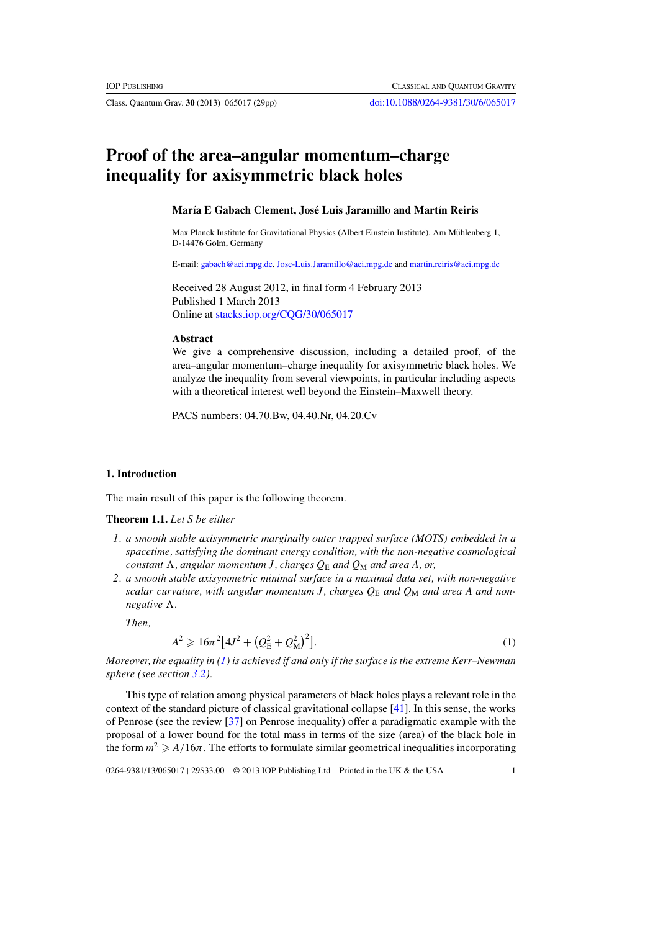<span id="page-1-0"></span>Class. Quantum Grav. **30** (2013) 065017 (29pp) [doi:10.1088/0264-9381/30/6/065017](http://dx.doi.org/10.1088/0264-9381/30/6/065017)

# **Proof of the area–angular momentum–charge inequality for axisymmetric black holes**

#### **María E Gabach Clement, José Luis Jaramillo and Martín Reiris**

Max Planck Institute for Gravitational Physics (Albert Einstein Institute), Am Mühlenberg 1, D-14476 Golm, Germany

E-mail: [gabach@aei.mpg.de,](mailto:gabach@aei.mpg.de) [Jose-Luis.Jaramillo@aei.mpg.de](mailto:Jose-Luis.Jaramillo@aei.mpg.de) and [martin.reiris@aei.mpg.de](mailto:martin.reiris@aei.mpg.de)

Received 28 August 2012, in final form 4 February 2013 Published 1 March 2013 Online at [stacks.iop.org/CQG/30/065017](http://stacks.iop.org/CQG/30/065017)

#### **Abstract**

We give a comprehensive discussion, including a detailed proof, of the area–angular momentum–charge inequality for axisymmetric black holes. We analyze the inequality from several viewpoints, in particular including aspects with a theoretical interest well beyond the Einstein–Maxwell theory.

PACS numbers: 04.70.Bw, 04.40.Nr, 04.20.Cv

#### **1. Introduction**

The main result of this paper is the following theorem.

#### **Theorem 1.1.** *Let S be either*

- *1. a smooth stable axisymmetric marginally outer trapped surface (MOTS) embedded in a spacetime, satisfying the dominant energy condition, with the non-negative cosmological constant* !*, angular momentum J, charges Q*<sup>E</sup> *and Q*<sup>M</sup> *and area A, or,*
- *2. a smooth stable axisymmetric minimal surface in a maximal data set, with non-negative scalar curvature, with angular momentum J, charges*  $Q_E$  *and*  $Q_M$  *and area A and nonnegative*  $\Lambda$ *.*

*Then,*

$$
A^{2} \geqslant 16\pi^{2} \left[ 4J^{2} + \left( Q_{\rm E}^{2} + Q_{\rm M}^{2} \right)^{2} \right].
$$
 (1)

*Moreover, the equality in (1) is achieved if and only if the surface is the extreme Kerr–Newman sphere (see section [3.2\)](#page-10-0).*

This type of relation among physical parameters of black holes plays a relevant role in the context of the standard picture of classical gravitational collapse [\[41\]](#page-29-0). In this sense, the works of Penrose (see the review [\[37\]](#page-29-0) on Penrose inequality) offer a paradigmatic example with the proposal of a lower bound for the total mass in terms of the size (area) of the black hole in the form  $m^2 \geq A/16\pi$ . The efforts to formulate similar geometrical inequalities incorporating

0264-9381/13/065017+29\$33.00 © 2013 IOP Publishing Ltd Printed in the UK & the USA 1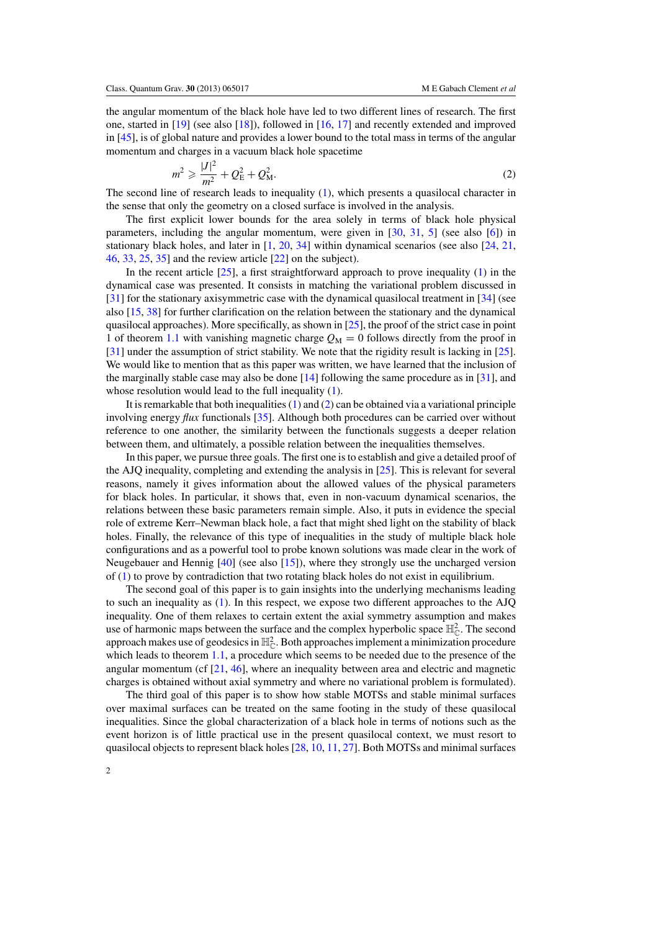<span id="page-2-0"></span>the angular momentum of the black hole have led to two different lines of research. The first one, started in [\[19\]](#page-29-0) (see also [\[18\]](#page-29-0)), followed in [\[16](#page-29-0), [17\]](#page-29-0) and recently extended and improved in [\[45](#page-29-0)], is of global nature and provides a lower bound to the total mass in terms of the angular momentum and charges in a vacuum black hole spacetime

$$
m^2 \ge \frac{|J|^2}{m^2} + Q_{\rm E}^2 + Q_{\rm M}^2. \tag{2}
$$

The second line of research leads to inequality [\(1\)](#page-1-0), which presents a quasilocal character in the sense that only the geometry on a closed surface is involved in the analysis.

The first explicit lower bounds for the area solely in terms of black hole physical parameters, including the angular momentum, were given in [\[30](#page-29-0), [31,](#page-29-0) [5](#page-29-0)] (see also [\[6](#page-29-0)]) in stationary black holes, and later in [\[1,](#page-29-0) [20](#page-29-0), [34\]](#page-29-0) within dynamical scenarios (see also [\[24,](#page-29-0) [21](#page-29-0), [46,](#page-29-0) [33,](#page-29-0) [25,](#page-29-0) [35\]](#page-29-0) and the review article [\[22\]](#page-29-0) on the subject).

In the recent article  $[25]$ , a first straightforward approach to prove inequality  $(1)$  in the dynamical case was presented. It consists in matching the variational problem discussed in [\[31](#page-29-0)] for the stationary axisymmetric case with the dynamical quasilocal treatment in [\[34\]](#page-29-0) (see also [\[15,](#page-29-0) [38\]](#page-29-0) for further clarification on the relation between the stationary and the dynamical quasilocal approaches). More specifically, as shown in  $[25]$  $[25]$ , the proof of the strict case in point 1 of theorem [1.1](#page-1-0) with vanishing magnetic charge  $Q_M = 0$  follows directly from the proof in [\[31](#page-29-0)] under the assumption of strict stability. We note that the rigidity result is lacking in [\[25\]](#page-29-0). We would like to mention that as this paper was written, we have learned that the inclusion of the marginally stable case may also be done  $[14]$  following the same procedure as in [\[31](#page-29-0)], and whose resolution would lead to the full inequality [\(1\)](#page-1-0).

It is remarkable that both inequalities  $(1)$  and  $(2)$  can be obtained via a variational principle involving energy *flux* functionals [\[35\]](#page-29-0). Although both procedures can be carried over without reference to one another, the similarity between the functionals suggests a deeper relation between them, and ultimately, a possible relation between the inequalities themselves.

In this paper, we pursue three goals. The first one is to establish and give a detailed proof of the AJQ inequality, completing and extending the analysis in [\[25](#page-29-0)]. This is relevant for several reasons, namely it gives information about the allowed values of the physical parameters for black holes. In particular, it shows that, even in non-vacuum dynamical scenarios, the relations between these basic parameters remain simple. Also, it puts in evidence the special role of extreme Kerr–Newman black hole, a fact that might shed light on the stability of black holes. Finally, the relevance of this type of inequalities in the study of multiple black hole configurations and as a powerful tool to probe known solutions was made clear in the work of Neugebauer and Hennig [\[40\]](#page-29-0) (see also [\[15](#page-29-0)]), where they strongly use the uncharged version of [\(1\)](#page-1-0) to prove by contradiction that two rotating black holes do not exist in equilibrium.

The second goal of this paper is to gain insights into the underlying mechanisms leading to such an inequality as [\(1\)](#page-1-0). In this respect, we expose two different approaches to the AJQ inequality. One of them relaxes to certain extent the axial symmetry assumption and makes use of harmonic maps between the surface and the complex hyperbolic space  $\mathbb{H}_{\mathbb{C}}^2$ . The second approach makes use of geodesics in  $\mathbb{H}_{\mathbb{C}}^2$ . Both approaches implement a minimization procedure which leads to theorem [1.1,](#page-1-0) a procedure which seems to be needed due to the presence of the angular momentum (cf [\[21,](#page-29-0) [46\]](#page-29-0), where an inequality between area and electric and magnetic charges is obtained without axial symmetry and where no variational problem is formulated).

The third goal of this paper is to show how stable MOTSs and stable minimal surfaces over maximal surfaces can be treated on the same footing in the study of these quasilocal inequalities. Since the global characterization of a black hole in terms of notions such as the event horizon is of little practical use in the present quasilocal context, we must resort to quasilocal objects to represent black holes [\[28,](#page-29-0) [10](#page-29-0), [11,](#page-29-0) [27](#page-29-0)]. Both MOTSs and minimal surfaces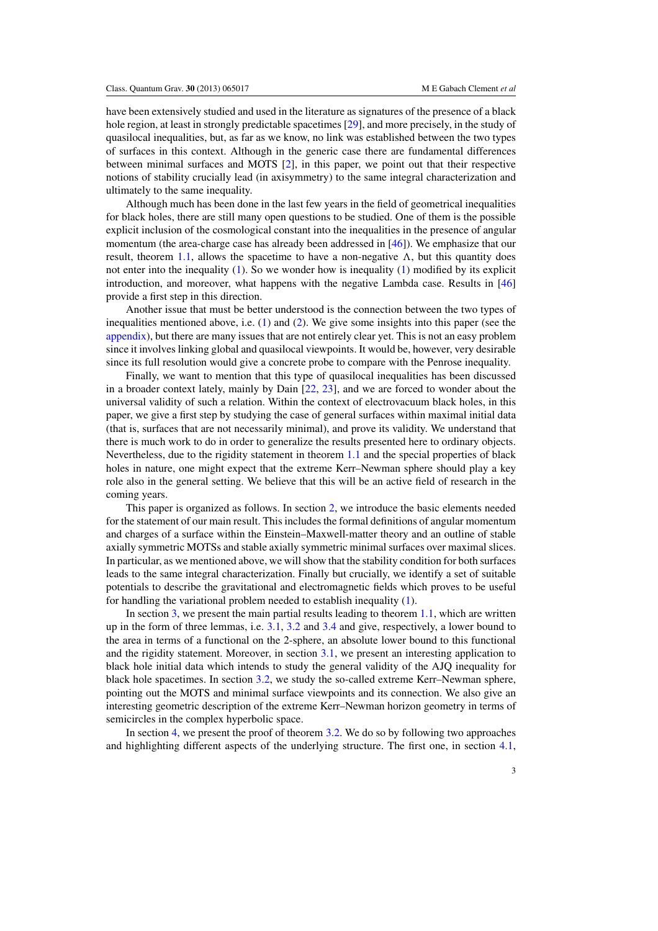have been extensively studied and used in the literature as signatures of the presence of a black hole region, at least in strongly predictable spacetimes [\[29](#page-29-0)], and more precisely, in the study of quasilocal inequalities, but, as far as we know, no link was established between the two types of surfaces in this context. Although in the generic case there are fundamental differences between minimal surfaces and MOTS [\[2](#page-29-0)], in this paper, we point out that their respective notions of stability crucially lead (in axisymmetry) to the same integral characterization and ultimately to the same inequality.

Although much has been done in the last few years in the field of geometrical inequalities for black holes, there are still many open questions to be studied. One of them is the possible explicit inclusion of the cosmological constant into the inequalities in the presence of angular momentum (the area-charge case has already been addressed in [\[46](#page-29-0)]). We emphasize that our result, theorem [1.1,](#page-1-0) allows the spacetime to have a non-negative  $\Lambda$ , but this quantity does not enter into the inequality  $(1)$ . So we wonder how is inequality  $(1)$  modified by its explicit introduction, and moreover, what happens with the negative Lambda case. Results in [\[46](#page-29-0)] provide a first step in this direction.

Another issue that must be better understood is the connection between the two types of inequalities mentioned above, i.e. [\(1\)](#page-1-0) and [\(2\)](#page-2-0). We give some insights into this paper (see the [appendix\)](#page-26-0), but there are many issues that are not entirely clear yet. This is not an easy problem since it involves linking global and quasilocal viewpoints. It would be, however, very desirable since its full resolution would give a concrete probe to compare with the Penrose inequality.

Finally, we want to mention that this type of quasilocal inequalities has been discussed in a broader context lately, mainly by Dain [\[22,](#page-29-0) [23](#page-29-0)], and we are forced to wonder about the universal validity of such a relation. Within the context of electrovacuum black holes, in this paper, we give a first step by studying the case of general surfaces within maximal initial data (that is, surfaces that are not necessarily minimal), and prove its validity. We understand that there is much work to do in order to generalize the results presented here to ordinary objects. Nevertheless, due to the rigidity statement in theorem [1.1](#page-1-0) and the special properties of black holes in nature, one might expect that the extreme Kerr–Newman sphere should play a key role also in the general setting. We believe that this will be an active field of research in the coming years.

This paper is organized as follows. In section [2,](#page-4-0) we introduce the basic elements needed for the statement of our main result. This includes the formal definitions of angular momentum and charges of a surface within the Einstein–Maxwell-matter theory and an outline of stable axially symmetric MOTSs and stable axially symmetric minimal surfaces over maximal slices. In particular, as we mentioned above, we will show that the stability condition for both surfaces leads to the same integral characterization. Finally but crucially, we identify a set of suitable potentials to describe the gravitational and electromagnetic fields which proves to be useful for handling the variational problem needed to establish inequality [\(1\)](#page-1-0).

In section [3,](#page-7-0) we present the main partial results leading to theorem  $1.1$ , which are written up in the form of three lemmas, i.e.  $3.1$ ,  $3.2$  and  $3.4$  and give, respectively, a lower bound to the area in terms of a functional on the 2-sphere, an absolute lower bound to this functional and the rigidity statement. Moreover, in section [3.1,](#page-9-0) we present an interesting application to black hole initial data which intends to study the general validity of the AJQ inequality for black hole spacetimes. In section [3.2,](#page-10-0) we study the so-called extreme Kerr–Newman sphere, pointing out the MOTS and minimal surface viewpoints and its connection. We also give an interesting geometric description of the extreme Kerr–Newman horizon geometry in terms of semicircles in the complex hyperbolic space.

In section [4,](#page-15-0) we present the proof of theorem [3.2.](#page-8-0) We do so by following two approaches and highlighting different aspects of the underlying structure. The first one, in section [4.1,](#page-16-0)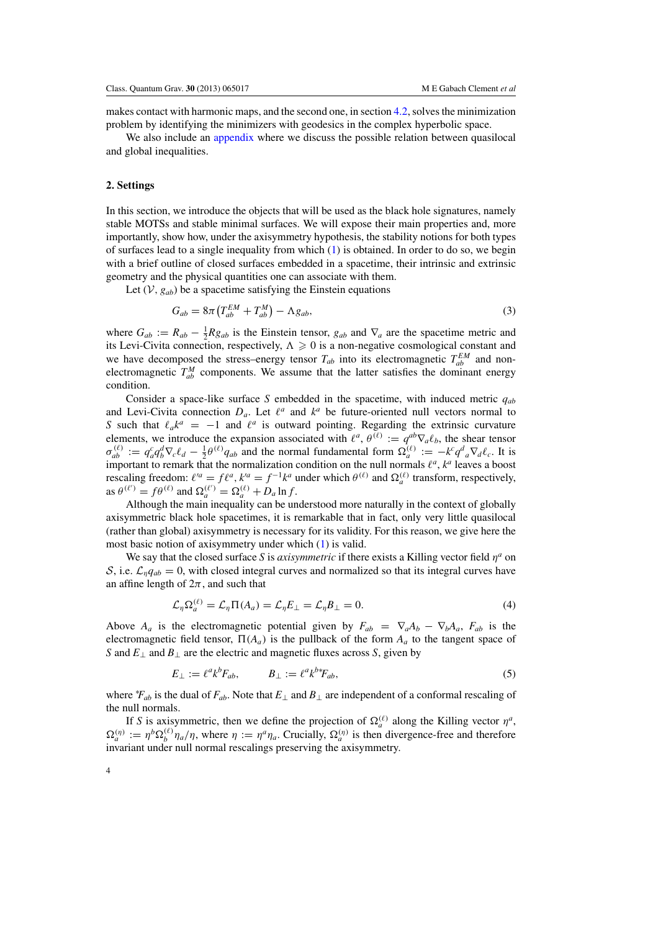<span id="page-4-0"></span>makes contact with harmonic maps, and the second one, in section [4.2,](#page-21-0) solves the minimization problem by identifying the minimizers with geodesics in the complex hyperbolic space.

We also include an [appendix](#page-26-0) where we discuss the possible relation between quasilocal and global inequalities.

## **2. Settings**

In this section, we introduce the objects that will be used as the black hole signatures, namely stable MOTSs and stable minimal surfaces. We will expose their main properties and, more importantly, show how, under the axisymmetry hypothesis, the stability notions for both types of surfaces lead to a single inequality from which  $(1)$  is obtained. In order to do so, we begin with a brief outline of closed surfaces embedded in a spacetime, their intrinsic and extrinsic geometry and the physical quantities one can associate with them.

Let  $(V, g_{ab})$  be a spacetime satisfying the Einstein equations

$$
G_{ab} = 8\pi \left( T_{ab}^{EM} + T_{ab}^{M} \right) - \Lambda g_{ab},\tag{3}
$$

where  $G_{ab} := R_{ab} - \frac{1}{2} R g_{ab}$  is the Einstein tensor,  $g_{ab}$  and  $\nabla_a$  are the spacetime metric and its Levi-Civita connection, respectively,  $\Lambda \geq 0$  is a non-negative cosmological constant and we have decomposed the stress–energy tensor  $T_{ab}$  into its electromagnetic  $T_{ab}^{EM}$  and nonelectromagnetic  $T_{ab}^M$  components. We assume that the latter satisfies the dominant energy condition.

Consider a space-like surface *S* embedded in the spacetime, with induced metric  $q_{ab}$ and Levi-Civita connection  $D_a$ . Let  $\ell^a$  and  $k^a$  be future-oriented null vectors normal to *S* such that  $\ell_a k^a = -1$  and  $\ell^a$  is outward pointing. Regarding the extrinsic curvature elements, we introduce the expansion associated with  $\ell^a$ ,  $\theta^{(\ell)} := q^{ab} \nabla_a \ell_b$ , the shear tensor  $\sigma_{ab}^{(\ell)} := q_a^c q_b^d \nabla_c \ell_d - \frac{1}{2} \theta^{(\ell)} q_{ab}$  and the normal fundamental form  $\Omega_a^{(\ell)} := -k^c q_a^d \nabla_d \ell_c$ . It is important to remark that the normalization condition on the null normals  $l^a$ ,  $k^a$  leaves a boost rescaling freedom:  $\ell'^a = f\ell^a$ ,  $k'^a = f^{-1}k^a$  under which  $\theta^{(\ell)}$  and  $\Omega_a^{(\ell)}$  transform, respectively, as  $\theta^{(\ell')} = f\theta^{(\ell)}$  and  $\Omega_a^{(\ell')} = \Omega_a^{(\ell)} + D_a \ln f$ .

Although the main inequality can be understood more naturally in the context of globally axisymmetric black hole spacetimes, it is remarkable that in fact, only very little quasilocal (rather than global) axisymmetry is necessary for its validity. For this reason, we give here the most basic notion of axisymmetry under which [\(1\)](#page-1-0) is valid.

We say that the closed surface *S* is *axisymmetric* if there exists a Killing vector field η*<sup>a</sup>* on S, i.e.  $\mathcal{L}_{\eta}q_{ab} = 0$ , with closed integral curves and normalized so that its integral curves have an affine length of  $2\pi$ , and such that

$$
\mathcal{L}_{\eta} \Omega_a^{(\ell)} = \mathcal{L}_{\eta} \Pi(A_a) = \mathcal{L}_{\eta} E_{\perp} = \mathcal{L}_{\eta} B_{\perp} = 0. \tag{4}
$$

Above  $A_a$  is the electromagnetic potential given by  $F_{ab} = \nabla_a A_b - \nabla_b A_a$ ,  $F_{ab}$  is the electromagnetic field tensor,  $\Pi(A_a)$  is the pullback of the form  $A_a$  to the tangent space of *S* and *E*<sup>⊥</sup> and *B*<sup>⊥</sup> are the electric and magnetic fluxes across *S*, given by

$$
E_{\perp} := \ell^a k^b F_{ab}, \qquad B_{\perp} := \ell^a k^{b*} F_{ab}, \tag{5}
$$

where  $*F_{ab}$  is the dual of  $F_{ab}$ . Note that  $E_{\perp}$  and  $B_{\perp}$  are independent of a conformal rescaling of the null normals.

If *S* is axisymmetric, then we define the projection of  $\Omega_a^{(\ell)}$  along the Killing vector  $\eta^a$ ,  $\Omega_a^{(\eta)} := \eta^b \Omega_b^{(\ell)} \eta_a / \eta$ , where  $\eta := \eta^a \eta_a$ . Crucially,  $\Omega_a^{(\eta)}$  is then divergence-free and therefore invariant under null normal rescalings preserving the axisymmetry.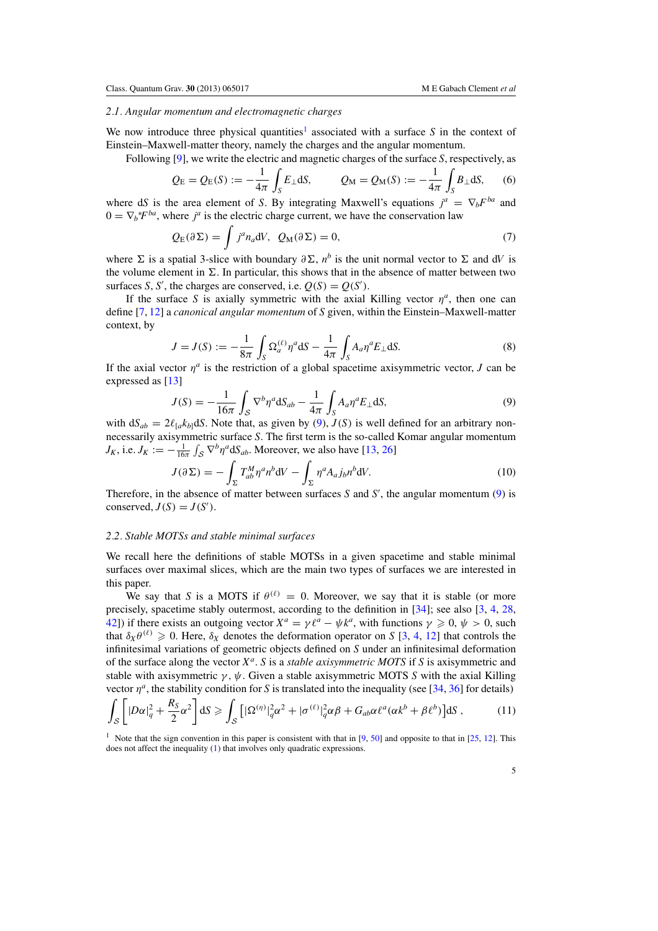#### <span id="page-5-0"></span>*2.1. Angular momentum and electromagnetic charges*

We now introduce three physical quantities<sup>1</sup> associated with a surface  $S$  in the context of Einstein–Maxwell-matter theory, namely the charges and the angular momentum.

Following [\[9\]](#page-29-0), we write the electric and magnetic charges of the surface *S*, respectively, as

$$
Q_{\rm E} = Q_{\rm E}(S) := -\frac{1}{4\pi} \int_S E_{\perp} dS, \qquad Q_{\rm M} = Q_{\rm M}(S) := -\frac{1}{4\pi} \int_S B_{\perp} dS, \qquad (6)
$$

where d*S* is the area element of *S*. By integrating Maxwell's equations  $j^a = \nabla_b F^{ba}$  and  $0 = \nabla_b * F^{ba}$ , where *j<sup>a</sup>* is the electric charge current, we have the conservation law

$$
Q_{\mathcal{E}}(\partial \Sigma) = \int j^a n_a \mathrm{d}V, \ \ Q_{\mathcal{M}}(\partial \Sigma) = 0,\tag{7}
$$

where  $\Sigma$  is a spatial 3-slice with boundary  $\partial \Sigma$ ,  $n^b$  is the unit normal vector to  $\Sigma$  and d*V* is the volume element in  $\Sigma$ . In particular, this shows that in the absence of matter between two surfaces *S*, *S'*, the charges are conserved, i.e.  $Q(S) = Q(S')$ .

If the surface *S* is axially symmetric with the axial Killing vector  $\eta^a$ , then one can define [\[7,](#page-29-0) [12\]](#page-29-0) a *canonical angular momentum* of *S* given, within the Einstein–Maxwell-matter context, by

$$
J = J(S) := -\frac{1}{8\pi} \int_{S} \Omega_a^{(\ell)} \eta^a \, \mathrm{d}S - \frac{1}{4\pi} \int_{S} A_a \eta^a E_{\perp} \, \mathrm{d}S. \tag{8}
$$

If the axial vector  $\eta^a$  is the restriction of a global spacetime axisymmetric vector, *J* can be expressed as [\[13\]](#page-29-0)

$$
J(S) = -\frac{1}{16\pi} \int_{S} \nabla^{b} \eta^{a} dS_{ab} - \frac{1}{4\pi} \int_{S} A_{a} \eta^{a} E_{\perp} dS,
$$
\n(9)

with  $dS_{ab} = 2\ell_{[a}k_{b]}dS$ . Note that, as given by (9),  $J(S)$  is well defined for an arbitrary nonnecessarily axisymmetric surface *S*. The first term is the so-called Komar angular momentum  $J_K$ , i.e.  $J_K := -\frac{1}{16\pi} \int_S \nabla^b \eta^a dS_{ab}$ . Moreover, we also have [\[13](#page-29-0), [26](#page-29-0)]

$$
J(\partial \Sigma) = -\int_{\Sigma} T_{ab}^M \eta^a n^b \mathrm{d}V - \int_{\Sigma} \eta^a A_{a} j_b n^b \mathrm{d}V. \tag{10}
$$

Therefore, in the absence of matter between surfaces *S* and *S*′ , the angular momentum (9) is conserved,  $J(S) = J(S')$ .

#### *2.2. Stable MOTSs and stable minimal surfaces*

We recall here the definitions of stable MOTSs in a given spacetime and stable minimal surfaces over maximal slices, which are the main two types of surfaces we are interested in this paper.

We say that *S* is a MOTS if  $\theta^{(\ell)} = 0$ . Moreover, we say that it is stable (or more precisely, spacetime stably outermost, according to the definition in [\[34\]](#page-29-0); see also [\[3](#page-29-0), [4,](#page-29-0) [28](#page-29-0), [42\]](#page-29-0)) if there exists an outgoing vector  $X^a = \gamma \ell^a - \psi k^a$ , with functions  $\gamma \ge 0$ ,  $\psi > 0$ , such that  $\delta_X \theta^{(\ell)} \geq 0$ . Here,  $\delta_X$  denotes the deformation operator on *S* [\[3,](#page-29-0) [4](#page-29-0), [12\]](#page-29-0) that controls the infinitesimal variations of geometric objects defined on *S* under an infinitesimal deformation of the surface along the vector *X<sup>a</sup>*. *S* is a *stable axisymmetric MOTS* if *S* is axisymmetric and stable with axisymmetric  $\gamma$ ,  $\psi$ . Given a stable axisymmetric MOTS *S* with the axial Killing vector  $\eta^a$ , the stability condition for *S* is translated into the inequality (see [\[34](#page-29-0), [36\]](#page-29-0) for details)

$$
\int_{\mathcal{S}} \left[ |D\alpha|_q^2 + \frac{R_S}{2} \alpha^2 \right] dS \ge \int_{\mathcal{S}} \left[ |\Omega^{(\eta)}|_q^2 \alpha^2 + |\sigma^{(\ell)}|_q^2 \alpha \beta + G_{ab} \alpha \ell^a (\alpha k^b + \beta \ell^b) \right] dS ,\tag{11}
$$

<sup>1</sup> Note that the sign convention in this paper is consistent with that in [\[9,](#page-29-0) [50](#page-29-0)] and opposite to that in [\[25](#page-29-0), [12](#page-29-0)]. This does not affect the inequality [\(1\)](#page-1-0) that involves only quadratic expressions.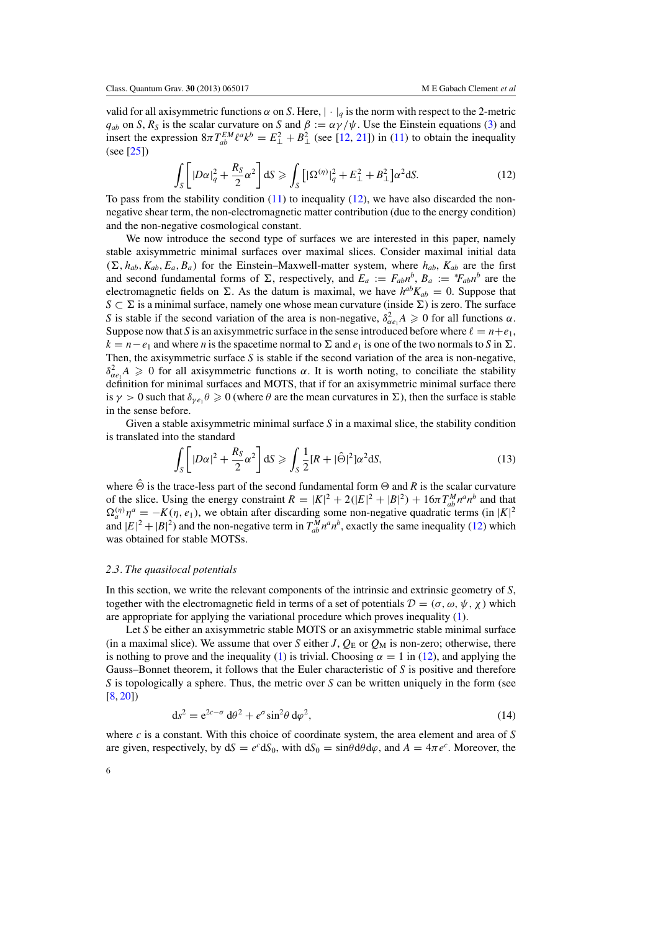<span id="page-6-0"></span>valid for all axisymmetric functions  $\alpha$  on *S*. Here,  $|\cdot|_q$  is the norm with respect to the 2-metric  $q_{ab}$  on *S*,  $R_S$  is the scalar curvature on *S* and  $\beta := \alpha \gamma / \psi$ . Use the Einstein equations [\(3\)](#page-4-0) and insert the expression  $8\pi T_{ab}^{EM} \ell^a k^b = E_{\perp}^2 + B_{\perp}^2$  (see [\[12,](#page-29-0) [21](#page-29-0)]) in [\(11\)](#page-5-0) to obtain the inequality (see [\[25\]](#page-29-0))

$$
\int_{S} \left[ |D\alpha|_{q}^{2} + \frac{R_{S}}{2} \alpha^{2} \right] dS \geqslant \int_{S} \left[ |\Omega^{(\eta)}|_{q}^{2} + E_{\perp}^{2} + B_{\perp}^{2} \right] \alpha^{2} dS. \tag{12}
$$

To pass from the stability condition  $(11)$  to inequality  $(12)$ , we have also discarded the nonnegative shear term, the non-electromagnetic matter contribution (due to the energy condition) and the non-negative cosmological constant.

We now introduce the second type of surfaces we are interested in this paper, namely stable axisymmetric minimal surfaces over maximal slices. Consider maximal initial data  $(\Sigma, h_{ab}, K_{ab}, E_a, B_a)$  for the Einstein–Maxwell-matter system, where  $h_{ab}$ ,  $K_{ab}$  are the first and second fundamental forms of  $\Sigma$ , respectively, and  $E_a := F_{ab}n^b$ ,  $B_a := *F_{ab}n^b$  are the electromagnetic fields on  $\Sigma$ . As the datum is maximal, we have  $h^{ab}K_{ab} = 0$ . Suppose that *S* ⊂  $\Sigma$  is a minimal surface, namely one whose mean curvature (inside  $\Sigma$ ) is zero. The surface *S* is stable if the second variation of the area is non-negative,  $\delta_{\alpha e_1}^2 A \ge 0$  for all functions  $\alpha$ . Suppose now that *S* is an axisymmetric surface in the sense introduced before where  $\ell = n + e_1$ ,  $k = n - e_1$  and where *n* is the spacetime normal to  $\Sigma$  and  $e_1$  is one of the two normals to *S* in  $\Sigma$ . Then, the axisymmetric surface *S* is stable if the second variation of the area is non-negative,  $\delta_{\alpha e_1}^2 A \geq 0$  for all axisymmetric functions  $\alpha$ . It is worth noting, to conciliate the stability definition for minimal surfaces and MOTS, that if for an axisymmetric minimal surface there is  $\gamma > 0$  such that  $\delta_{\gamma e_1} \theta \geq 0$  (where  $\theta$  are the mean curvatures in  $\Sigma$ ), then the surface is stable in the sense before.

Given a stable axisymmetric minimal surface *S* in a maximal slice, the stability condition is translated into the standard

$$
\int_{S} \left[ |D\alpha|^2 + \frac{R_S}{2} \alpha^2 \right] dS \geqslant \int_{S} \frac{1}{2} [R + |\hat{\Theta}|^2] \alpha^2 dS,\tag{13}
$$

where  $\Theta$  is the trace-less part of the second fundamental form  $\Theta$  and *R* is the scalar curvature of the slice. Using the energy constraint  $R = |K|^2 + 2(|E|^2 + |B|^2) + 16\pi T_{ab}^M n^a n^b$  and that  $\Omega_a^{(\eta)} \eta^a = -K(\eta, e_1)$ , we obtain after discarding some non-negative quadratic terms (in |*K*|<sup>2</sup> and  $|E|^2 + |B|^2$ ) and the non-negative term in  $T_{ab}^M n^a n^b$ , exactly the same inequality (12) which was obtained for stable MOTSs.

#### *2.3. The quasilocal potentials*

In this section, we write the relevant components of the intrinsic and extrinsic geometry of *S*, together with the electromagnetic field in terms of a set of potentials  $\mathcal{D} = (\sigma, \omega, \psi, \chi)$  which are appropriate for applying the variational procedure which proves inequality [\(1\)](#page-1-0).

Let *S* be either an axisymmetric stable MOTS or an axisymmetric stable minimal surface (in a maximal slice). We assume that over *S* either *J*,  $Q_E$  or  $Q_M$  is non-zero; otherwise, there is nothing to prove and the inequality [\(1\)](#page-1-0) is trivial. Choosing  $\alpha = 1$  in (12), and applying the Gauss–Bonnet theorem, it follows that the Euler characteristic of *S* is positive and therefore *S* is topologically a sphere. Thus, the metric over *S* can be written uniquely in the form (see [\[8](#page-29-0), [20](#page-29-0)])

$$
ds^2 = e^{2c-\sigma} d\theta^2 + e^{\sigma} \sin^2 \theta d\varphi^2,
$$
\n(14)

where *c* is a constant. With this choice of coordinate system, the area element and area of *S* are given, respectively, by  $dS = e^c dS_0$ , with  $dS_0 = \sin\theta d\theta d\varphi$ , and  $A = 4\pi e^c$ . Moreover, the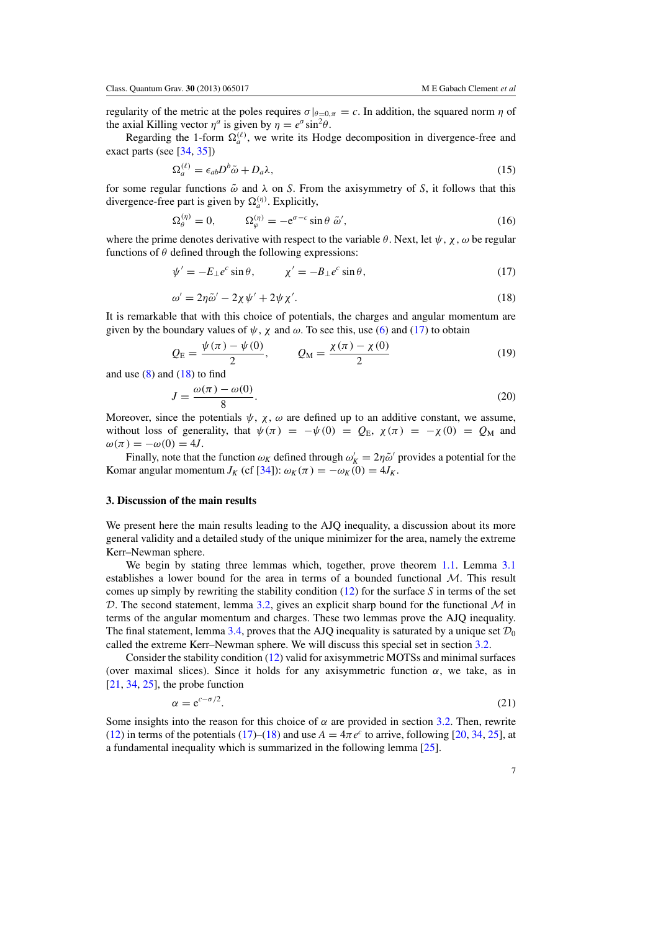<span id="page-7-0"></span>regularity of the metric at the poles requires  $\sigma|_{\theta=0,\pi} = c$ . In addition, the squared norm  $\eta$  of the axial Killing vector  $\eta^a$  is given by  $\eta = e^{\sigma} \sin^2 \theta$ .

Regarding the 1-form  $\Omega_a^{(\ell)}$ , we write its Hodge decomposition in divergence-free and exact parts (see [\[34,](#page-29-0) [35\]](#page-29-0))

$$
\Omega_a^{(\ell)} = \epsilon_{ab} D^b \tilde{\omega} + D_a \lambda,\tag{15}
$$

for some regular functions  $\tilde{\omega}$  and  $\lambda$  on *S*. From the axisymmetry of *S*, it follows that this divergence-free part is given by  $\Omega_a^{(\eta)}$ . Explicitly,

$$
\Omega_{\theta}^{(\eta)} = 0, \qquad \Omega_{\varphi}^{(\eta)} = -e^{\sigma - c} \sin \theta \; \tilde{\omega}', \tag{16}
$$

where the prime denotes derivative with respect to the variable  $\theta$ . Next, let  $\psi$ ,  $\chi$ ,  $\omega$  be regular functions of  $\theta$  defined through the following expressions:

$$
\psi' = -E_{\perp}e^c \sin \theta, \qquad \chi' = -B_{\perp}e^c \sin \theta, \qquad (17)
$$

$$
\omega' = 2\eta \tilde{\omega}' - 2\chi \psi' + 2\psi \chi'.\tag{18}
$$

It is remarkable that with this choice of potentials, the charges and angular momentum are given by the boundary values of  $\psi$ ,  $\chi$  and  $\omega$ . To see this, use [\(6\)](#page-5-0) and (17) to obtain

$$
Q_{\rm E} = \frac{\psi(\pi) - \psi(0)}{2}, \qquad Q_{\rm M} = \frac{\chi(\pi) - \chi(0)}{2} \tag{19}
$$

and use  $(8)$  and  $(18)$  to find

$$
J = \frac{\omega(\pi) - \omega(0)}{8}.
$$
\n(20)

Moreover, since the potentials  $\psi$ ,  $\chi$ ,  $\omega$  are defined up to an additive constant, we assume, without loss of generality, that  $\psi(\pi) = -\psi(0) = Q_E$ ,  $\chi(\pi) = -\chi(0) = Q_M$  and  $\omega(\pi) = -\omega(0) = 4J$ .

Finally, note that the function  $\omega_K$  defined through  $\omega'_K = 2\eta \tilde{\omega}'$  provides a potential for the Komar angular momentum *J<sub>K</sub>* (cf [\[34](#page-29-0)]):  $\omega_K(\pi) = -\omega_K(0) = 4J_K$ .

#### **3. Discussion of the main results**

We present here the main results leading to the AJQ inequality, a discussion about its more general validity and a detailed study of the unique minimizer for the area, namely the extreme Kerr–Newman sphere.

We begin by stating three lemmas which, together, prove theorem [1.1.](#page-1-0) Lemma [3.1](#page-8-0) establishes a lower bound for the area in terms of a bounded functional  $M$ . This result comes up simply by rewriting the stability condition [\(12\)](#page-6-0) for the surface *S* in terms of the set D. The second statement, lemma [3.2,](#page-8-0) gives an explicit sharp bound for the functional  $\mathcal M$  in terms of the angular momentum and charges. These two lemmas prove the AJQ inequality. The final statement, lemma [3.4,](#page-8-0) proves that the AJQ inequality is saturated by a unique set  $\mathcal{D}_0$ called the extreme Kerr–Newman sphere. We will discuss this special set in section [3.2.](#page-10-0)

Consider the stability condition [\(12\)](#page-6-0) valid for axisymmetric MOTSs and minimal surfaces (over maximal slices). Since it holds for any axisymmetric function  $\alpha$ , we take, as in  $[21, 34, 25]$  $[21, 34, 25]$  $[21, 34, 25]$  $[21, 34, 25]$  $[21, 34, 25]$  $[21, 34, 25]$ , the probe function

$$
\alpha = e^{c - \sigma/2}.\tag{21}
$$

Some insights into the reason for this choice of  $\alpha$  are provided in section [3.2.](#page-10-0) Then, rewrite [\(12\)](#page-6-0) in terms of the potentials (17)–(18) and use  $A = 4\pi e^c$  to arrive, following [\[20,](#page-29-0) [34](#page-29-0), [25](#page-29-0)], at a fundamental inequality which is summarized in the following lemma [\[25](#page-29-0)].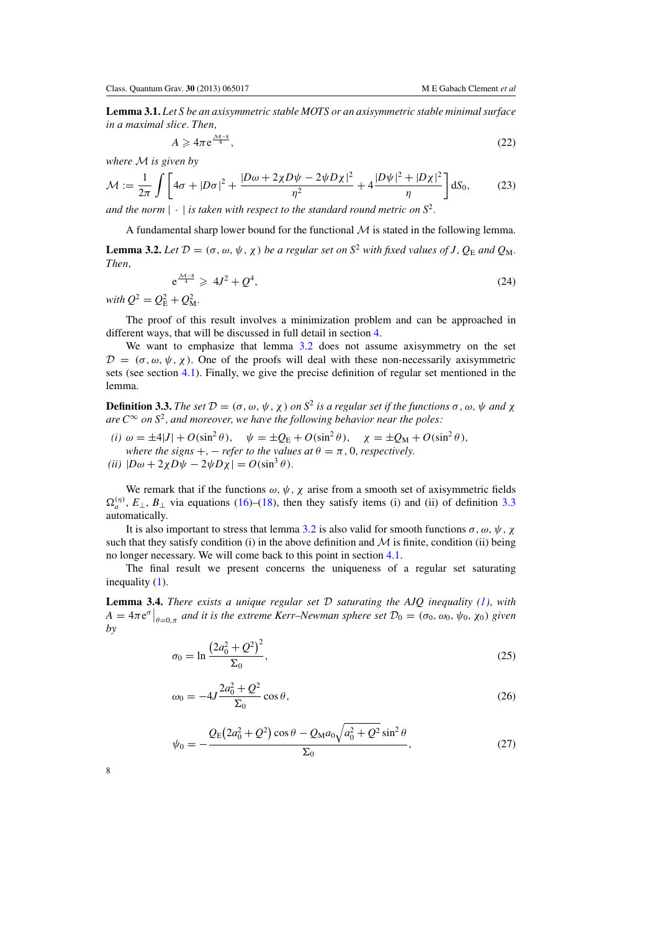<span id="page-8-0"></span>**Lemma 3.1.** *Let S be an axisymmetric stable MOTS or an axisymmetric stable minimal surface in a maximal slice. Then,*

$$
A \geqslant 4\pi \,\mathrm{e}^{\frac{\mathcal{M}-8}{8}},\tag{22}
$$

*where* M *is given by*

$$
\mathcal{M} := \frac{1}{2\pi} \int \left[ 4\sigma + |D\sigma|^2 + \frac{|D\omega + 2\chi D\psi - 2\psi D\chi|^2}{\eta^2} + 4 \frac{|D\psi|^2 + |D\chi|^2}{\eta} \right] dS_0, \tag{23}
$$

*and the norm*  $|\cdot|$  *is taken with respect to the standard round metric on*  $S^2$ *.* 

A fundamental sharp lower bound for the functional  $M$  is stated in the following lemma.

**Lemma 3.2.** Let  $\mathcal{D} = (\sigma, \omega, \psi, \chi)$  be a regular set on  $S^2$  with fixed values of J,  $Q_E$  and  $Q_M$ . *Then,*

$$
e^{\frac{\mathcal{M}-8}{4}} \geqslant 4J^2 + Q^4,\tag{24}
$$

*with*  $Q^2 = Q_{\rm E}^2 + Q_{\rm M}^2$ .

The proof of this result involves a minimization problem and can be approached in different ways, that will be discussed in full detail in section [4.](#page-15-0)

We want to emphasize that lemma 3.2 does not assume axisymmetry on the set  $\mathcal{D} = (\sigma, \omega, \psi, \chi)$ . One of the proofs will deal with these non-necessarily axisymmetric sets (see section [4.1\)](#page-16-0). Finally, we give the precise definition of regular set mentioned in the lemma.

**Definition 3.3.** *The set*  $\mathcal{D} = (\sigma, \omega, \psi, \chi)$  *on*  $S^2$  *is a regular set if the functions*  $\sigma, \omega, \psi$  *and*  $\chi$ *are*  $C^{\infty}$  *on*  $S^2$ *, and moreover, we have the following behavior near the poles:* 

*(i)*  $\omega = \pm 4|J| + O(\sin^2 \theta)$ ,  $\psi = \pm Q_E + O(\sin^2 \theta)$ ,  $\chi = \pm Q_M + O(\sin^2 \theta)$ , *where the signs* +,  $-$  *refer to the values at*  $\theta = \pi$ , 0*, respectively.*  $(iii)$   $|D\omega + 2\chi D\psi - 2\psi D\chi| = O(\sin^3\theta).$ 

We remark that if the functions  $\omega$ ,  $\psi$ ,  $\chi$  arise from a smooth set of axisymmetric fields  $\Omega_n^{(n)}$ ,  $E_{\perp}$ ,  $B_{\perp}$  via equations [\(16\)](#page-7-0)–[\(18\)](#page-7-0), then they satisfy items (i) and (ii) of definition 3.3 automatically.

It is also important to stress that lemma 3.2 is also valid for smooth functions  $\sigma$ ,  $\omega$ ,  $\psi$ ,  $\chi$ such that they satisfy condition (i) in the above definition and  $\mathcal M$  is finite, condition (ii) being no longer necessary. We will come back to this point in section [4.1.](#page-16-0)

The final result we present concerns the uniqueness of a regular set saturating inequality [\(1\)](#page-1-0).

**Lemma 3.4.** *There exists a unique regular set* D *saturating the AJQ inequality [\(1\)](#page-1-0), with*  $A = 4\pi e^{\sigma}|_{\theta=0,\pi}$  *and it is the extreme Kerr–Newman sphere set*  $\mathcal{D}_0 = (\sigma_0, \omega_0, \psi_0, \chi_0)$  *given by*

$$
\sigma_0 = \ln \frac{\left(2a_0^2 + Q^2\right)^2}{\Sigma_0},\tag{25}
$$

$$
\omega_0 = -4J \frac{2a_0^2 + Q^2}{\Sigma_0} \cos \theta, \tag{26}
$$

$$
\psi_0 = -\frac{Q_E(2a_0^2 + Q^2)\cos\theta - Q_M a_0\sqrt{a_0^2 + Q^2}\sin^2\theta}{\Sigma_0},
$$
\n(27)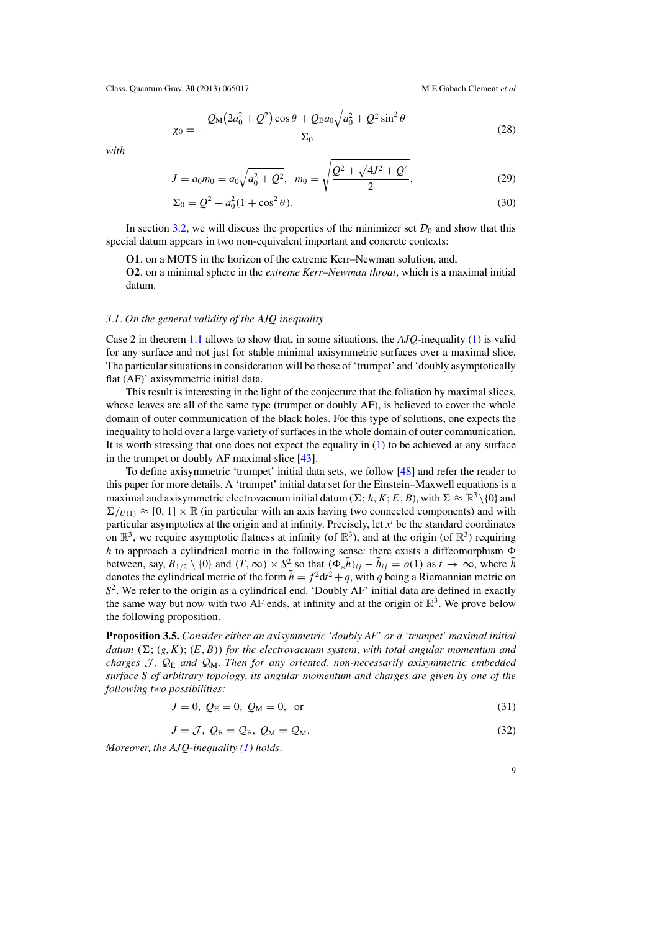$$
\chi_0 = -\frac{Q_M (2a_0^2 + Q^2) \cos \theta + Q_E a_0 \sqrt{a_0^2 + Q^2} \sin^2 \theta}{\Sigma_0}
$$
(28)

<span id="page-9-0"></span>*with*

$$
J = a_0 m_0 = a_0 \sqrt{a_0^2 + Q^2}, \quad m_0 = \sqrt{\frac{Q^2 + \sqrt{4J^2 + Q^4}}{2}}, \tag{29}
$$

$$
\Sigma_0 = Q^2 + a_0^2 (1 + \cos^2 \theta). \tag{30}
$$

In section [3.2,](#page-10-0) we will discuss the properties of the minimizer set  $\mathcal{D}_0$  and show that this special datum appears in two non-equivalent important and concrete contexts:

**O1**. on a MOTS in the horizon of the extreme Kerr–Newman solution, and,

**O2**. on a minimal sphere in the *extreme Kerr–Newman throat*, which is a maximal initial datum.

### *3.1. On the general validity of the AJQ inequality*

Case 2 in theorem [1.1](#page-1-0) allows to show that, in some situations, the *AJQ*-inequality [\(1\)](#page-1-0) is valid for any surface and not just for stable minimal axisymmetric surfaces over a maximal slice. The particular situations in consideration will be those of 'trumpet' and 'doubly asymptotically flat (AF)' axisymmetric initial data.

This result is interesting in the light of the conjecture that the foliation by maximal slices, whose leaves are all of the same type (trumpet or doubly AF), is believed to cover the whole domain of outer communication of the black holes. For this type of solutions, one expects the inequality to hold over a large variety of surfaces in the whole domain of outer communication. It is worth stressing that one does not expect the equality in [\(1\)](#page-1-0) to be achieved at any surface in the trumpet or doubly AF maximal slice [\[43\]](#page-29-0).

To define axisymmetric 'trumpet' initial data sets, we follow [\[48](#page-29-0)] and refer the reader to this paper for more details. A 'trumpet' initial data set for the Einstein–Maxwell equations is a maximal and axisymmetric electrovacuum initial datum ( $\Sigma$ ; *h*, *K*; *E*, *B*), with  $\Sigma \approx \mathbb{R}^3 \setminus \{0\}$  and  $\Sigma/_{U(1)} \approx [0, 1] \times \mathbb{R}$  (in particular with an axis having two connected components) and with particular asymptotics at the origin and at infinity. Precisely, let  $x<sup>i</sup>$  be the standard coordinates on  $\mathbb{R}^3$ , we require asymptotic flatness at infinity (of  $\mathbb{R}^3$ ), and at the origin (of  $\mathbb{R}^3$ ) requiring *h* to approach a cylindrical metric in the following sense: there exists a diffeomorphism  $\Phi$ between, say,  $B_{1/2} \setminus \{0\}$  and  $(T, \infty) \times S^2$  so that  $(\Phi_* \bar{h})_{ij} - \bar{h}_{ij} = o(1)$  as  $t \to \infty$ , where  $\bar{h}$ denotes the cylindrical metric of the form  $\bar{h} = f^2 dt^2 + q$ , with *q* being a Riemannian metric on *S*<sup>2</sup>. We refer to the origin as a cylindrical end. 'Doubly AF' initial data are defined in exactly the same way but now with two AF ends, at infinity and at the origin of  $\mathbb{R}^3$ . We prove below the following proposition.

**Proposition 3.5.** *Consider either an axisymmetric 'doubly AF' or a 'trumpet' maximal initial datum*  $(\Sigma; (g, K); (E, B))$  *for the electrovacuum system, with total angular momentum and charges*  $\mathcal{J}$ ,  $\mathcal{Q}_E$  and  $\mathcal{Q}_M$ . Then for any oriented, non-necessarily axisymmetric embedded *surface S of arbitrary topology, its angular momentum and charges are given by one of the following two possibilities:*

$$
J = 0, \ Q_{\rm E} = 0, \ Q_{\rm M} = 0, \ \text{or} \tag{31}
$$

$$
J = \mathcal{J}, \ Q_{\rm E} = \mathcal{Q}_{\rm E}, \ Q_{\rm M} = \mathcal{Q}_{\rm M}.
$$

*Moreover, the AJQ-inequality [\(1\)](#page-1-0) holds.*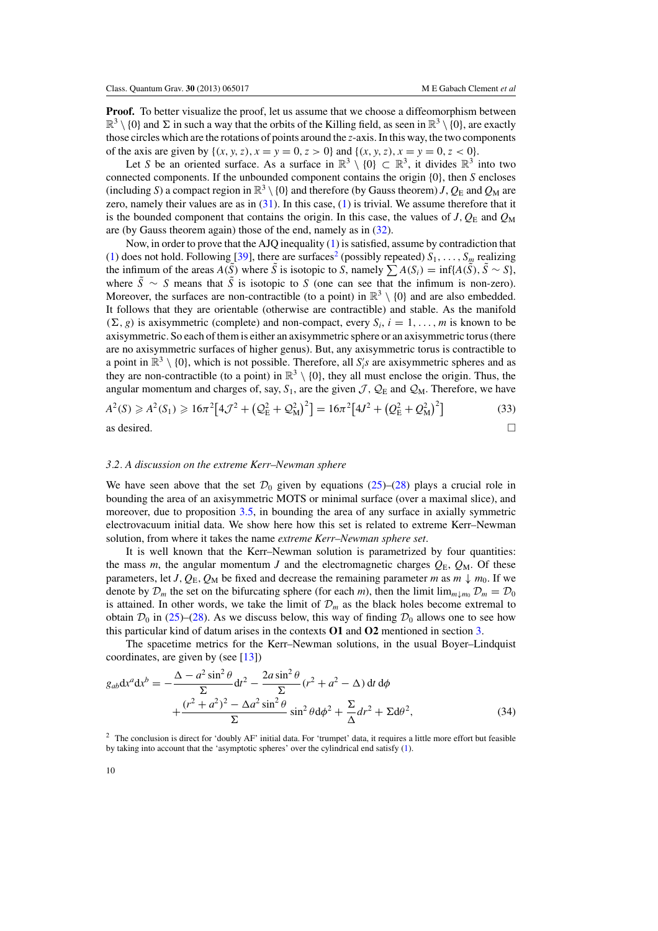<span id="page-10-0"></span>**Proof.** To better visualize the proof, let us assume that we choose a diffeomorphism between  $\mathbb{R}^3 \setminus \{0\}$  and  $\Sigma$  in such a way that the orbits of the Killing field, as seen in  $\mathbb{R}^3 \setminus \{0\}$ , are exactly those circles which are the rotations of points around the *z*-axis. In this way, the two components of the axis are given by  $\{(x, y, z), x = y = 0, z > 0\}$  and  $\{(x, y, z), x = y = 0, z < 0\}.$ 

Let *S* be an oriented surface. As a surface in  $\mathbb{R}^3 \setminus \{0\} \subset \mathbb{R}^3$ , it divides  $\mathbb{R}^3$  into two connected components. If the unbounded component contains the origin {0}, then *S* encloses (including *S*) a compact region in  $\mathbb{R}^3 \setminus \{0\}$  and therefore (by Gauss theorem) *J*,  $Q_E$  and  $Q_M$  are zero, namely their values are as in  $(31)$ . In this case,  $(1)$  is trivial. We assume therefore that it is the bounded component that contains the origin. In this case, the values of  $J, Q_{\rm E}$  and  $Q_{\rm M}$ are (by Gauss theorem again) those of the end, namely as in [\(32\)](#page-9-0).

Now, in order to prove that the AJQ inequality [\(1\)](#page-1-0) is satisfied, assume by contradiction that [\(1\)](#page-1-0) does not hold. Following [\[39\]](#page-29-0), there are surfaces<sup>2</sup> (possibly repeated)  $S_1, \ldots, S_m$  realizing the infimum of the areas *A*( $\bar{S}$ ) where  $\bar{S}$  is isotopic to *S*, namely  $\sum A(S_i) = \inf\{A(\bar{S}), \bar{S} \sim S\}$ , where  $\tilde{S} \sim S$  means that  $\tilde{S}$  is isotopic to *S* (one can see that the infimum is non-zero). Moreover, the surfaces are non-contractible (to a point) in  $\mathbb{R}^3 \setminus \{0\}$  and are also embedded. It follows that they are orientable (otherwise are contractible) and stable. As the manifold  $(\Sigma, g)$  is axisymmetric (complete) and non-compact, every  $S_i$ ,  $i = 1, \ldots, m$  is known to be axisymmetric. So each of them is either an axisymmetric sphere or an axisymmetric torus (there are no axisymmetric surfaces of higher genus). But, any axisymmetric torus is contractible to a point in  $\mathbb{R}^3 \setminus \{0\}$ , which is not possible. Therefore, all *S*<sup>'</sup><sub>*i*</sub>'s are axisymmetric spheres and as they are non-contractible (to a point) in  $\mathbb{R}^3 \setminus \{0\}$ , they all must enclose the origin. Thus, the angular momentum and charges of, say,  $S_1$ , are the given  $\mathcal{J}, \mathcal{Q}_E$  and  $\mathcal{Q}_M$ . Therefore, we have

$$
A^{2}(S) \ge A^{2}(S_{1}) \ge 16\pi^{2}[4\mathcal{J}^{2} + (Q_{E}^{2} + Q_{M}^{2})^{2}] = 16\pi^{2}[4J^{2} + (Q_{E}^{2} + Q_{M}^{2})^{2}]
$$
\n(33)

\nas desired.

# *3.2. A discussion on the extreme Kerr–Newman sphere*

We have seen above that the set  $\mathcal{D}_0$  given by equations [\(25\)](#page-8-0)–[\(28\)](#page-9-0) plays a crucial role in bounding the area of an axisymmetric MOTS or minimal surface (over a maximal slice), and moreover, due to proposition [3.5,](#page-9-0) in bounding the area of any surface in axially symmetric electrovacuum initial data. We show here how this set is related to extreme Kerr–Newman solution, from where it takes the name *extreme Kerr–Newman sphere set*.

It is well known that the Kerr–Newman solution is parametrized by four quantities: the mass *m*, the angular momentum *J* and the electromagnetic charges  $Q_E$ ,  $Q_M$ . Of these parameters, let *J*,  $Q_E$ ,  $Q_M$  be fixed and decrease the remaining parameter *m* as  $m \downarrow m_0$ . If we denote by  $\mathcal{D}_m$  the set on the bifurcating sphere (for each *m*), then the limit  $\lim_{m \downarrow m_0} \mathcal{D}_m = \mathcal{D}_0$ is attained. In other words, we take the limit of  $\mathcal{D}_m$  as the black holes become extremal to obtain  $\mathcal{D}_0$  in [\(25\)](#page-8-0)–[\(28\)](#page-9-0). As we discuss below, this way of finding  $\mathcal{D}_0$  allows one to see how this particular kind of datum arises in the contexts **O1** and **O2** mentioned in section [3.](#page-7-0)

The spacetime metrics for the Kerr–Newman solutions, in the usual Boyer–Lindquist coordinates, are given by (see  $[13]$  $[13]$ )

$$
g_{ab}dx^{a}dx^{b} = -\frac{\Delta - a^{2}\sin^{2}\theta}{\Sigma}dt^{2} - \frac{2a\sin^{2}\theta}{\Sigma}(r^{2} + a^{2} - \Delta) dt d\phi
$$

$$
+\frac{(r^{2} + a^{2})^{2} - \Delta a^{2}\sin^{2}\theta}{\Sigma}\sin^{2}\theta d\phi^{2} + \frac{\Sigma}{\Delta}dr^{2} + \Sigma d\theta^{2},
$$
(34)

<sup>2</sup> The conclusion is direct for 'doubly AF' initial data. For 'trumpet' data, it requires a little more effort but feasible by taking into account that the 'asymptotic spheres' over the cylindrical end satisfy [\(1\)](#page-1-0).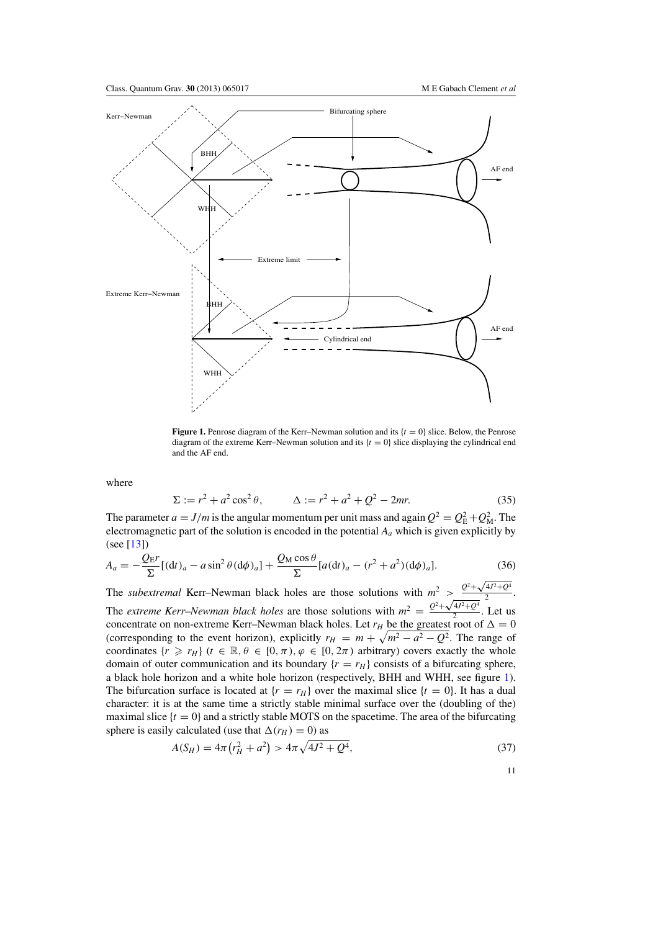<span id="page-11-0"></span>

**Figure 1.** Penrose diagram of the Kerr–Newman solution and its  $\{t = 0\}$  slice. Below, the Penrose diagram of the extreme Kerr–Newman solution and its  $\{t = 0\}$  slice displaying the cylindrical end and the AF end.

where

$$
\Sigma := r^2 + a^2 \cos^2 \theta, \qquad \Delta := r^2 + a^2 + Q^2 - 2mr. \tag{35}
$$

The parameter  $a = J/m$  is the angular momentum per unit mass and again  $Q^2 = Q_{\rm E}^2 + Q_{\rm M}^2$ . The electromagnetic part of the solution is encoded in the potential *Aa* which is given explicitly by (see [\[13\]](#page-29-0))

$$
A_a = -\frac{Q_{\rm E}r}{\Sigma}[(\mathrm{d}t)_a - a\sin^2\theta(\mathrm{d}\phi)_a] + \frac{Q_{\rm M}\cos\theta}{\Sigma} [a(\mathrm{d}t)_a - (r^2 + a^2)(\mathrm{d}\phi)_a].\tag{36}
$$

The *subextremal* Kerr–Newman black holes are those solutions with  $m^2 > \frac{Q^2 + \sqrt{4J^2 + Q^4}}{2}$ . The *extreme Kerr–Newman black holes* are those solutions with  $m^2 = \frac{Q^2 + \sqrt{4J^2 + Q^4}}{2}$ . Let us concentrate on non-extreme Kerr–Newman black holes. Let  $r_H$  be the greatest root of  $\Delta = 0$ (corresponding to the event horizon), explicitly  $r_H = m + \sqrt{m^2 - a^2 - Q^2}$ . The range of coordinates  $\{r \ge r_H\}$  ( $t \in \mathbb{R}, \theta \in [0, \pi), \varphi \in [0, 2\pi)$  arbitrary) covers exactly the whole domain of outer communication and its boundary  $\{r = r_H\}$  consists of a bifurcating sphere, a black hole horizon and a white hole horizon (respectively, BHH and WHH, see figure 1). The bifurcation surface is located at  $\{r = r_H\}$  over the maximal slice  $\{t = 0\}$ . It has a dual character: it is at the same time a strictly stable minimal surface over the (doubling of the) maximal slice  $\{t = 0\}$  and a strictly stable MOTS on the spacetime. The area of the bifurcating sphere is easily calculated (use that  $\Delta(r_H) = 0$ ) as

$$
A(S_H) = 4\pi (r_H^2 + a^2) > 4\pi \sqrt{4J^2 + Q^4},\tag{37}
$$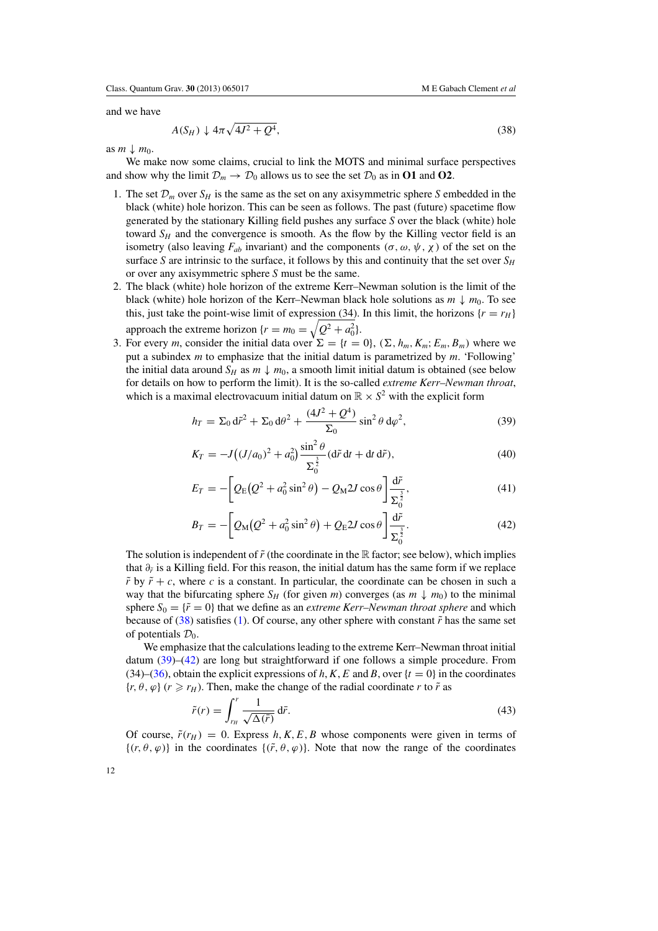<span id="page-12-0"></span>and we have

$$
A(S_H) \downarrow 4\pi \sqrt{4J^2 + Q^4},\tag{38}
$$

as  $m \downarrow m_0$ .

We make now some claims, crucial to link the MOTS and minimal surface perspectives and show why the limit  $\mathcal{D}_m \to \mathcal{D}_0$  allows us to see the set  $\mathcal{D}_0$  as in **O1** and **O2**.

- 1. The set  $\mathcal{D}_m$  over  $S_H$  is the same as the set on any axisymmetric sphere *S* embedded in the black (white) hole horizon. This can be seen as follows. The past (future) spacetime flow generated by the stationary Killing field pushes any surface *S* over the black (white) hole toward  $S_H$  and the convergence is smooth. As the flow by the Killing vector field is an isometry (also leaving  $F_{ab}$  invariant) and the components  $(\sigma, \omega, \psi, \chi)$  of the set on the surface *S* are intrinsic to the surface, it follows by this and continuity that the set over  $S_H$ or over any axisymmetric sphere *S* must be the same.
- 2. The black (white) hole horizon of the extreme Kerr–Newman solution is the limit of the black (white) hole horizon of the Kerr–Newman black hole solutions as  $m \downarrow m_0$ . To see this, just take the point-wise limit of expression (34). In this limit, the horizons  $\{r = r_H\}$ approach the extreme horizon  $\{r = m_0 = \sqrt{Q^2 + a_0^2}\}.$
- 3. For every *m*, consider the initial data over  $\Sigma = \{t = 0\}$ ,  $(\Sigma, h_m, K_m; E_m, B_m)$  where we put a subindex *m* to emphasize that the initial datum is parametrized by *m*. 'Following' the initial data around  $S_H$  as  $m \downarrow m_0$ , a smooth limit initial datum is obtained (see below for details on how to perform the limit). It is the so-called *extreme Kerr–Newman throat*, which is a maximal electrovacuum initial datum on  $\mathbb{R} \times S^2$  with the explicit form

$$
h_T = \Sigma_0 d\tilde{r}^2 + \Sigma_0 d\theta^2 + \frac{(4J^2 + Q^4)}{\Sigma_0} \sin^2 \theta d\varphi^2, \tag{39}
$$

$$
K_T = -J((J/a_0)^2 + a_0^2) \frac{\sin^2 \theta}{\Sigma_0^{\frac{3}{2}}} (\mathrm{d}\tilde{r} \,\mathrm{d}t + \mathrm{d}t \,\mathrm{d}\tilde{r}),\tag{40}
$$

$$
E_T = -\left[Q_E(Q^2 + a_0^2 \sin^2 \theta) - Q_M 2J \cos \theta\right] \frac{d\tilde{r}}{\Sigma_0^{\frac{3}{2}}},\tag{41}
$$

$$
B_T = -\left[Q_\text{M}(Q^2 + a_0^2 \sin^2 \theta) + Q_\text{E} 2J \cos \theta\right] \frac{\text{d}\tilde{r}}{\Sigma_0^{\frac{3}{2}}}.
$$
 (42)

The solution is independent of  $\tilde{r}$  (the coordinate in the R factor; see below), which implies that  $\partial_{\tilde{r}}$  is a Killing field. For this reason, the initial datum has the same form if we replace  $\tilde{r}$  by  $\tilde{r}$  + *c*, where *c* is a constant. In particular, the coordinate can be chosen in such a way that the bifurcating sphere  $S_H$  (for given *m*) converges (as  $m \downarrow m_0$ ) to the minimal sphere  $S_0 = \{ \tilde{r} = 0 \}$  that we define as an *extreme Kerr–Newman throat sphere* and which because of (38) satisfies [\(1\)](#page-1-0). Of course, any other sphere with constant  $\tilde{r}$  has the same set of potentials  $\mathcal{D}_0$ .

We emphasize that the calculations leading to the extreme Kerr–Newman throat initial datum (39)–(42) are long but straightforward if one follows a simple procedure. From (34)–[\(36\)](#page-11-0), obtain the explicit expressions of *h*, *K*, *E* and *B*, over  $\{t = 0\}$  in the coordinates  ${r, \theta, \varphi}$  ( $r \ge r_H$ ). Then, make the change of the radial coordinate *r* to  $\tilde{r}$  as

$$
\tilde{r}(r) = \int_{r_H}^{r} \frac{1}{\sqrt{\Delta(\bar{r})}} d\bar{r}.\tag{43}
$$

Of course,  $\tilde{r}(r_H) = 0$ . Express h, K, E, B whose components were given in terms of  $\{(r, \theta, \varphi)\}\$ in the coordinates  $\{(\tilde{r}, \theta, \varphi)\}\$ . Note that now the range of the coordinates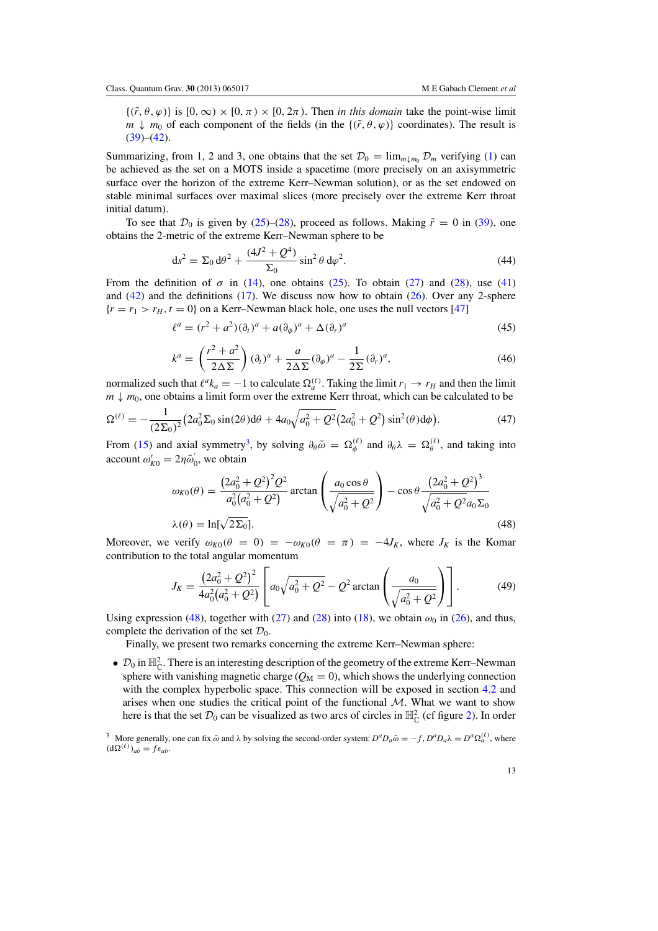<span id="page-13-0"></span> $\{(\tilde{r}, \theta, \varphi)\}\$ is  $[0, \infty) \times [0, \pi) \times [0, 2\pi)$ . Then *in this domain* take the point-wise limit *m*  $\downarrow$  *m*<sub>0</sub> of each component of the fields (in the { $(\tilde{r}, \theta, \varphi)$ } coordinates). The result is  $(39)–(42)$  $(39)–(42)$  $(39)–(42)$ .

Summarizing, from 1, 2 and 3, one obtains that the set  $\mathcal{D}_0 = \lim_{m \downarrow m_0} \mathcal{D}_m$  verifying [\(1\)](#page-1-0) can be achieved as the set on a MOTS inside a spacetime (more precisely on an axisymmetric surface over the horizon of the extreme Kerr–Newman solution), or as the set endowed on stable minimal surfaces over maximal slices (more precisely over the extreme Kerr throat initial datum).

To see that  $\mathcal{D}_0$  is given by [\(25\)](#page-8-0)–[\(28\)](#page-9-0), proceed as follows. Making  $\tilde{r} = 0$  in [\(39\)](#page-12-0), one obtains the 2-metric of the extreme Kerr–Newman sphere to be

$$
ds^{2} = \Sigma_{0} d\theta^{2} + \frac{(4J^{2} + Q^{4})}{\Sigma_{0}} \sin^{2} \theta d\varphi^{2}.
$$
 (44)

From the definition of  $\sigma$  in [\(14\)](#page-6-0), one obtains [\(25\)](#page-8-0). To obtain [\(27\)](#page-8-0) and [\(28\)](#page-9-0), use [\(41\)](#page-12-0) and  $(42)$  and the definitions  $(17)$ . We discuss now how to obtain  $(26)$ . Over any 2-sphere  ${r = r_1 > r_H, t = 0}$  on a Kerr–Newman black hole, one uses the null vectors [\[47\]](#page-29-0)

$$
\ell^a = (r^2 + a^2)(\partial_t)^a + a(\partial_\phi)^a + \Delta(\partial_r)^a \tag{45}
$$

$$
k^{a} = \left(\frac{r^{2} + a^{2}}{2\Delta\Sigma}\right)(\partial_{t})^{a} + \frac{a}{2\Delta\Sigma}(\partial_{\phi})^{a} - \frac{1}{2\Sigma}(\partial_{r})^{a},
$$
\n(46)

normalized such that  $\ell^a k_a = -1$  to calculate  $\Omega_a^{(\ell)}$ . Taking the limit  $r_1 \to r_H$  and then the limit  $m \downarrow m_0$ , one obtains a limit form over the extreme Kerr throat, which can be calculated to be

$$
\Omega^{(\ell)} = -\frac{1}{(2\Sigma_0)^2} \left(2a_0^2 \Sigma_0 \sin(2\theta) d\theta + 4a_0 \sqrt{a_0^2 + Q^2} \left(2a_0^2 + Q^2\right) \sin^2(\theta) d\phi\right). \tag{47}
$$

From [\(15\)](#page-7-0) and axial symmetry<sup>3</sup>, by solving  $\partial_{\theta} \tilde{\omega} = \Omega_{\phi}^{(\ell)}$  and  $\partial_{\theta} \lambda = \Omega_{\theta}^{(\ell)}$ , and taking into account  $\omega'_{K0} = 2\eta \tilde{\omega}'_0$ , we obtain

$$
\omega_{K0}(\theta) = \frac{(2a_0^2 + Q^2)^2 Q^2}{a_0^2 (a_0^2 + Q^2)} \arctan\left(\frac{a_0 \cos \theta}{\sqrt{a_0^2 + Q^2}}\right) - \cos \theta \frac{(2a_0^2 + Q^2)^3}{\sqrt{a_0^2 + Q^2 a_0 \Sigma_0}}
$$
  

$$
\lambda(\theta) = \ln[\sqrt{2\Sigma_0}].
$$
 (48)

Moreover, we verify  $\omega_{K0}(\theta = 0) = -\omega_{K0}(\theta = \pi) = -4J_K$ , where  $J_K$  is the Komar contribution to the total angular momentum

$$
J_K = \frac{(2a_0^2 + Q^2)^2}{4a_0^2(a_0^2 + Q^2)} \left[ a_0 \sqrt{a_0^2 + Q^2} - Q^2 \arctan\left(\frac{a_0}{\sqrt{a_0^2 + Q^2}}\right) \right].
$$
 (49)

Using expression (48), together with [\(27\)](#page-8-0) and [\(28\)](#page-9-0) into [\(18\)](#page-7-0), we obtain  $\omega_0$  in [\(26\)](#page-8-0), and thus, complete the derivation of the set  $\mathcal{D}_0$ .

Finally, we present two remarks concerning the extreme Kerr–Newman sphere:

•  $\mathcal{D}_0$  in  $\mathbb{H}_{\mathbb{C}}^2$ . There is an interesting description of the geometry of the extreme Kerr–Newman sphere with vanishing magnetic charge  $(Q_M = 0)$ , which shows the underlying connection with the complex hyperbolic space. This connection will be exposed in section [4.2](#page-21-0) and arises when one studies the critical point of the functional  $M$ . What we want to show here is that the set  $\mathcal{D}_0$  can be visualized as two arcs of circles in  $\mathbb{H}_{\mathbb{C}}^2$  (cf figure [2\)](#page-14-0). In order

<sup>3</sup> More generally, one can fix  $\tilde{\omega}$  and  $\lambda$  by solving the second-order system:  $D^a D_a \tilde{\omega} = -f$ ,  $D^a D_a \lambda = D^a \Omega_a^{(\ell)}$ , where  $(d\Omega^{(\ell)})_{ab} = f\epsilon_{ab}$ .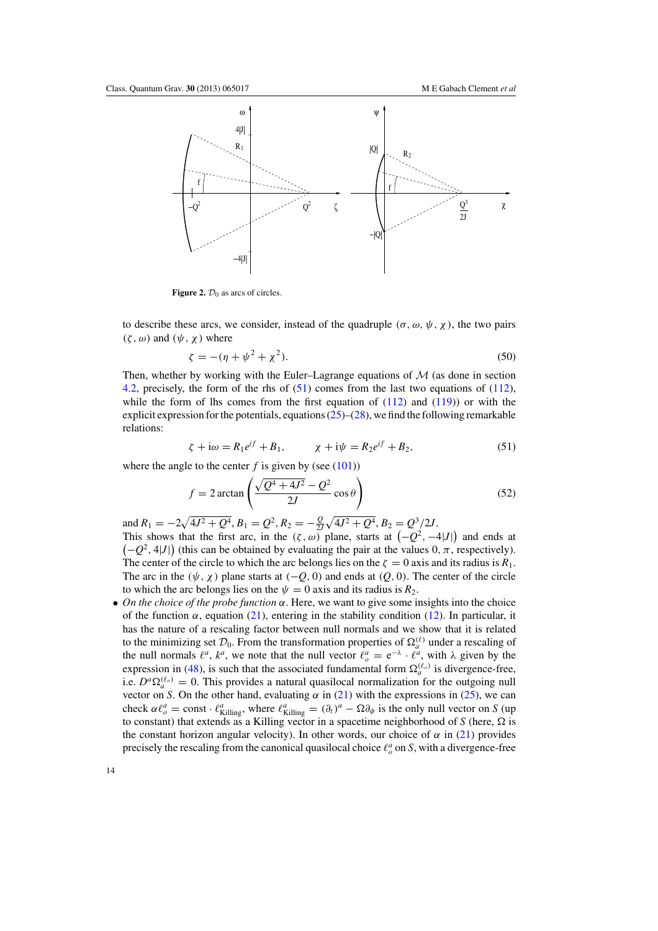<span id="page-14-0"></span>

**Figure 2.**  $\mathcal{D}_0$  as arcs of circles.

to describe these arcs, we consider, instead of the quadruple ( $\sigma$ ,  $\omega$ ,  $\psi$ ,  $\chi$ ), the two pairs  $(\zeta, \omega)$  and  $(\psi, \chi)$  where

$$
\zeta = -(\eta + \psi^2 + \chi^2). \tag{50}
$$

Then, whether by working with the Euler–Lagrange equations of  $\mathcal M$  (as done in section [4.2,](#page-21-0) precisely, the form of the rhs of (51) comes from the last two equations of [\(112\)](#page-23-0), while the form of lhs comes from the first equation of  $(112)$  and  $(119)$ ) or with the explicit expression for the potentials, equations  $(25)$ – $(28)$ , we find the following remarkable relations:

$$
\zeta + i\omega = R_1 e^{if} + B_1, \qquad \chi + i\psi = R_2 e^{if} + B_2,
$$
\n(51)

where the angle to the center  $f$  is given by (see  $(101)$ )

$$
f = 2 \arctan\left(\frac{\sqrt{Q^4 + 4J^2} - Q^2}{2J} \cos \theta\right)
$$
 (52)

and  $R_1 = -2\sqrt{4J^2 + Q^4}$ ,  $B_1 = Q^2$ ,  $R_2 = -\frac{Q}{2J}\sqrt{4J^2 + Q^4}$ ,  $B_2 = Q^3/2J$ . This shows that the first arc, in the  $(\zeta, \omega)$  plane, starts at  $(-Q^2, -4|J|)$  and ends at  $(-Q^2, 4|J|)$  (this can be obtained by evaluating the pair at the values 0,  $\pi$ , respectively). The center of the circle to which the arc belongs lies on the  $\zeta = 0$  axis and its radius is  $R_1$ . The arc in the  $(\psi, \chi)$  plane starts at  $(-Q, 0)$  and ends at  $(Q, 0)$ . The center of the circle to which the arc belongs lies on the  $\psi = 0$  axis and its radius is  $R_2$ .

• *On the choice of the probe function* α. Here, we want to give some insights into the choice of the function  $\alpha$ , equation [\(21\)](#page-7-0), entering in the stability condition [\(12\)](#page-6-0). In particular, it has the nature of a rescaling factor between null normals and we show that it is related to the minimizing set  $\mathcal{D}_0$ . From the transformation properties of  $\Omega_a^{(\ell)}$  under a rescaling of the null normals  $\ell^a$ ,  $k^a$ , we note that the null vector  $\ell^a$  =  $e^{-\lambda} \cdot \ell^a$ , with  $\lambda$  given by the expression in [\(48\)](#page-13-0), is such that the associated fundamental form  $\Omega_a^{(\ell_o)}$  is divergence-free, i.e.  $D^a \Omega_a^{(\ell_o)} = 0$ . This provides a natural quasilocal normalization for the outgoing null vector on *S*. On the other hand, evaluating  $\alpha$  in [\(21\)](#page-7-0) with the expressions in [\(25\)](#page-8-0), we can check  $\alpha \ell_o^a = \text{const} \cdot \ell_{\text{Killing}}^a$ , where  $\ell_{\text{Killing}}^a = (\partial_t)^a - \Omega \partial_\phi$  is the only null vector on *S* (up to constant) that extends as a Killing vector in a spacetime neighborhood of *S* (here,  $\Omega$  is the constant horizon angular velocity). In other words, our choice of  $\alpha$  in [\(21\)](#page-7-0) provides precisely the rescaling from the canonical quasilocal choice  $\ell^a_{\rho}$  on *S*, with a divergence-free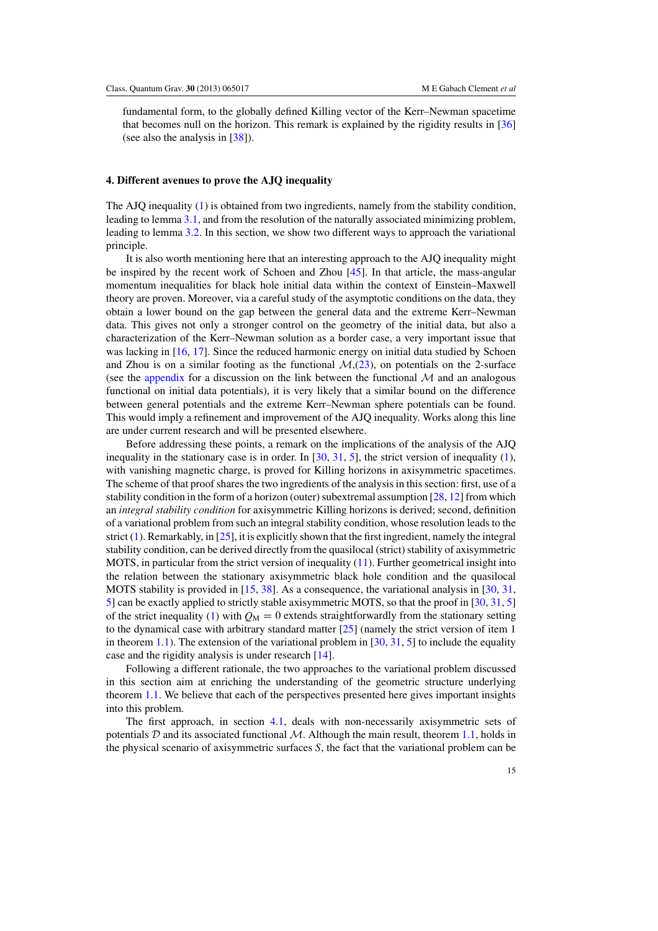<span id="page-15-0"></span>fundamental form, to the globally defined Killing vector of the Kerr–Newman spacetime that becomes null on the horizon. This remark is explained by the rigidity results in [\[36](#page-29-0)] (see also the analysis in [\[38\]](#page-29-0)).

## **4. Different avenues to prove the AJQ inequality**

The AJQ inequality [\(1\)](#page-1-0) is obtained from two ingredients, namely from the stability condition, leading to lemma [3.1,](#page-8-0) and from the resolution of the naturally associated minimizing problem, leading to lemma [3.2.](#page-8-0) In this section, we show two different ways to approach the variational principle.

It is also worth mentioning here that an interesting approach to the AJQ inequality might be inspired by the recent work of Schoen and Zhou [\[45\]](#page-29-0). In that article, the mass-angular momentum inequalities for black hole initial data within the context of Einstein–Maxwell theory are proven. Moreover, via a careful study of the asymptotic conditions on the data, they obtain a lower bound on the gap between the general data and the extreme Kerr–Newman data. This gives not only a stronger control on the geometry of the initial data, but also a characterization of the Kerr–Newman solution as a border case, a very important issue that was lacking in [\[16](#page-29-0), [17](#page-29-0)]. Since the reduced harmonic energy on initial data studied by Schoen and Zhou is on a similar footing as the functional  $M<sub>1</sub>(23)$  $M<sub>1</sub>(23)$ , on potentials on the 2-surface (see the [appendix](#page-26-0) for a discussion on the link between the functional  $M$  and an analogous functional on initial data potentials), it is very likely that a similar bound on the difference between general potentials and the extreme Kerr–Newman sphere potentials can be found. This would imply a refinement and improvement of the AJQ inequality. Works along this line are under current research and will be presented elsewhere.

Before addressing these points, a remark on the implications of the analysis of the AJQ inequality in the stationary case is in order. In  $[30, 31, 5]$  $[30, 31, 5]$  $[30, 31, 5]$  $[30, 31, 5]$  $[30, 31, 5]$ , the strict version of inequality  $(1)$ , with vanishing magnetic charge, is proved for Killing horizons in axisymmetric spacetimes. The scheme of that proof shares the two ingredients of the analysis in this section: first, use of a stability condition in the form of a horizon (outer) subextremal assumption [\[28,](#page-29-0) [12](#page-29-0)] from which an *integral stability condition* for axisymmetric Killing horizons is derived; second, definition of a variational problem from such an integral stability condition, whose resolution leads to the strict [\(1\)](#page-1-0). Remarkably, in [\[25\]](#page-29-0), it is explicitly shown that the first ingredient, namely the integral stability condition, can be derived directly from the quasilocal (strict) stability of axisymmetric MOTS, in particular from the strict version of inequality [\(11\)](#page-5-0). Further geometrical insight into the relation between the stationary axisymmetric black hole condition and the quasilocal MOTS stability is provided in  $[15, 38]$  $[15, 38]$  $[15, 38]$  $[15, 38]$ . As a consequence, the variational analysis in  $[30, 31]$  $[30, 31]$  $[30, 31]$  $[30, 31]$ . [5\]](#page-29-0) can be exactly applied to strictly stable axisymmetric MOTS, so that the proof in [\[30,](#page-29-0) [31,](#page-29-0) [5](#page-29-0)] of the strict inequality [\(1\)](#page-1-0) with  $Q_M = 0$  extends straightforwardly from the stationary setting to the dynamical case with arbitrary standard matter [\[25\]](#page-29-0) (namely the strict version of item 1 in theorem [1.1\)](#page-1-0). The extension of the variational problem in  $[30, 31, 5]$  $[30, 31, 5]$  $[30, 31, 5]$  $[30, 31, 5]$  $[30, 31, 5]$  to include the equality case and the rigidity analysis is under research [\[14\]](#page-29-0).

Following a different rationale, the two approaches to the variational problem discussed in this section aim at enriching the understanding of the geometric structure underlying theorem [1.1.](#page-1-0) We believe that each of the perspectives presented here gives important insights into this problem.

The first approach, in section [4.1,](#page-16-0) deals with non-necessarily axisymmetric sets of potentials  $D$  and its associated functional  $M$ . Although the main result, theorem [1.1,](#page-1-0) holds in the physical scenario of axisymmetric surfaces *S*, the fact that the variational problem can be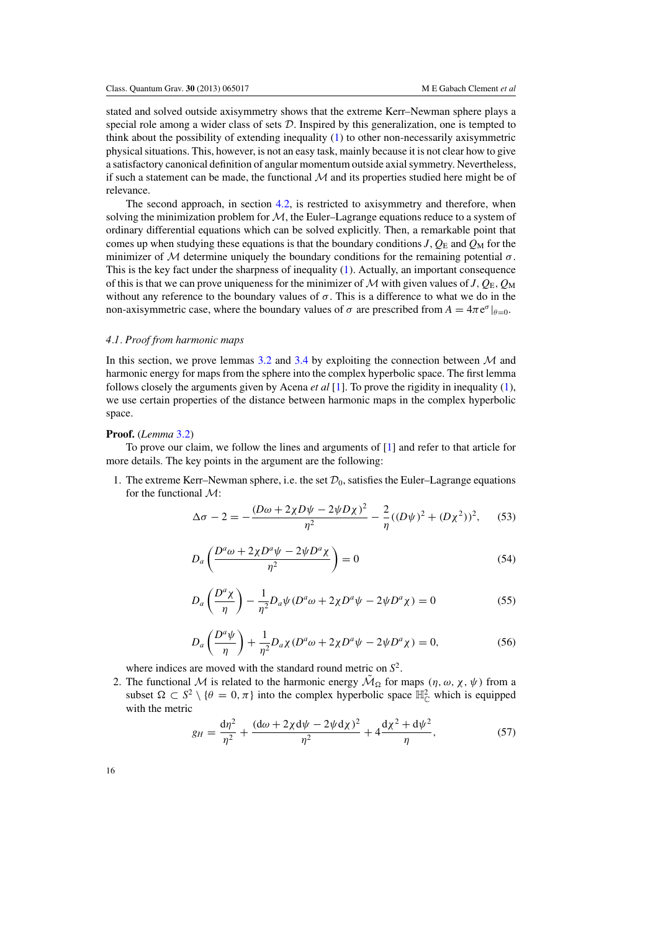<span id="page-16-0"></span>stated and solved outside axisymmetry shows that the extreme Kerr–Newman sphere plays a special role among a wider class of sets  $D$ . Inspired by this generalization, one is tempted to think about the possibility of extending inequality [\(1\)](#page-1-0) to other non-necessarily axisymmetric physical situations. This, however, is not an easy task, mainly because it is not clear how to give a satisfactory canonical definition of angular momentum outside axial symmetry. Nevertheless, if such a statement can be made, the functional  $\mathcal M$  and its properties studied here might be of relevance.

The second approach, in section [4.2,](#page-21-0) is restricted to axisymmetry and therefore, when solving the minimization problem for  $M$ , the Euler–Lagrange equations reduce to a system of ordinary differential equations which can be solved explicitly. Then, a remarkable point that comes up when studying these equations is that the boundary conditions *J*,  $Q_{\rm E}$  and  $Q_{\rm M}$  for the minimizer of M determine uniquely the boundary conditions for the remaining potential  $\sigma$ . This is the key fact under the sharpness of inequality [\(1\)](#page-1-0). Actually, an important consequence of this is that we can prove uniqueness for the minimizer of  $M$  with given values of  $J$ ,  $Q_E$ ,  $Q_M$ without any reference to the boundary values of  $\sigma$ . This is a difference to what we do in the non-axisymmetric case, where the boundary values of  $\sigma$  are prescribed from  $A = 4\pi e^{\sigma}|_{\theta=0}$ .

#### *4.1. Proof from harmonic maps*

In this section, we prove lemmas [3.2](#page-8-0) and [3.4](#page-8-0) by exploiting the connection between  $\mathcal M$  and harmonic energy for maps from the sphere into the complex hyperbolic space. The first lemma follows closely the arguments given by Acena *et al* [\[1\]](#page-29-0). To prove the rigidity in inequality [\(1\)](#page-1-0), we use certain properties of the distance between harmonic maps in the complex hyperbolic space.

#### **Proof.** (*Lemma* [3.2\)](#page-8-0)

To prove our claim, we follow the lines and arguments of [\[1\]](#page-29-0) and refer to that article for more details. The key points in the argument are the following:

1. The extreme Kerr–Newman sphere, i.e. the set  $\mathcal{D}_0$ , satisfies the Euler–Lagrange equations for the functional  $\mathcal{M}$ :

$$
\Delta \sigma - 2 = -\frac{(D\omega + 2\chi D\psi - 2\psi D\chi)^2}{\eta^2} - \frac{2}{\eta}((D\psi)^2 + (D\chi^2))^2, \quad (53)
$$

$$
D_a \left( \frac{D^a \omega + 2\chi D^a \psi - 2\psi D^a \chi}{\eta^2} \right) = 0 \tag{54}
$$

$$
D_a\left(\frac{D^a\chi}{\eta}\right) - \frac{1}{\eta^2}D_a\psi(D^a\omega + 2\chi D^a\psi - 2\psi D^a\chi) = 0
$$
\n(55)

$$
D_a\left(\frac{D^a\psi}{\eta}\right) + \frac{1}{\eta^2}D_a\chi(D^a\omega + 2\chi D^a\psi - 2\psi D^a\chi) = 0,\tag{56}
$$

where indices are moved with the standard round metric on *S*2.

2. The functional M is related to the harmonic energy  $\tilde{M}_{\Omega}$  for maps  $(\eta, \omega, \chi, \psi)$  from a subset  $\Omega \subset S^2 \setminus \{\theta = 0, \pi\}$  into the complex hyperbolic space  $\mathbb{H}^2_{\mathbb{C}}$  which is equipped with the metric

$$
g_H = \frac{d\eta^2}{\eta^2} + \frac{(d\omega + 2\chi d\psi - 2\psi d\chi)^2}{\eta^2} + 4\frac{d\chi^2 + d\psi^2}{\eta},
$$
(57)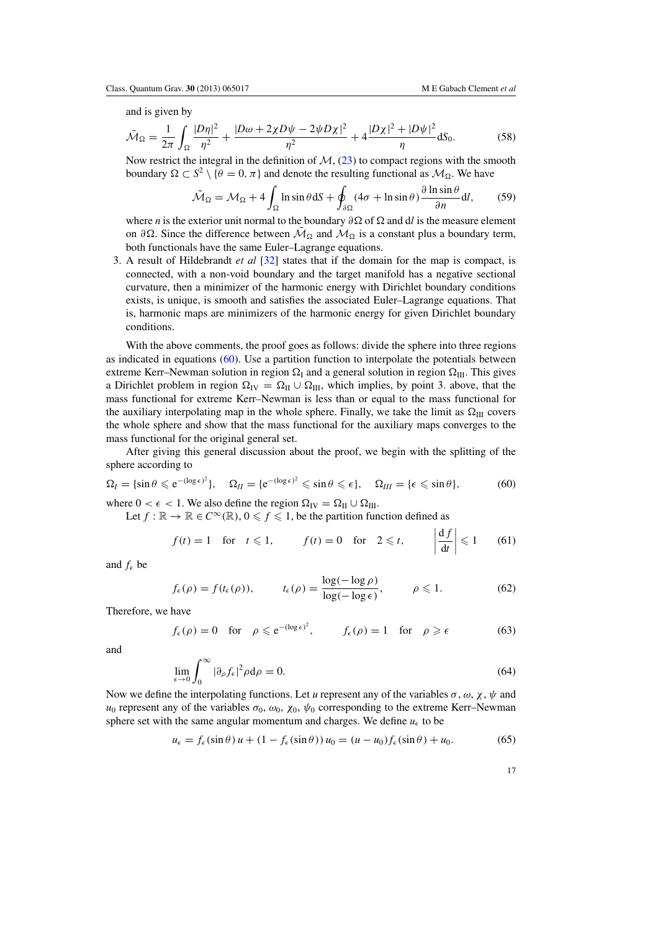<span id="page-17-0"></span>and is given by

$$
\tilde{\mathcal{M}}_{\Omega} = \frac{1}{2\pi} \int_{\Omega} \frac{|D\eta|^2}{\eta^2} + \frac{|D\omega + 2\chi D\psi - 2\psi D\chi|^2}{\eta^2} + 4\frac{|D\chi|^2 + |D\psi|^2}{\eta} dS_0.
$$
 (58)

Now restrict the integral in the definition of  $M$ , [\(23\)](#page-8-0) to compact regions with the smooth boundary  $\Omega \subset S^2 \setminus \{\theta = 0, \pi\}$  and denote the resulting functional as  $\mathcal{M}_{\Omega}$ . We have

$$
\tilde{\mathcal{M}}_{\Omega} = \mathcal{M}_{\Omega} + 4 \int_{\Omega} \ln \sin \theta \, dS + \oint_{\partial \Omega} (4\sigma + \ln \sin \theta) \frac{\partial \ln \sin \theta}{\partial n} dI, \tag{59}
$$

where *n* is the exterior unit normal to the boundary ∂Ω of Ω and d*l* is the measure element on ∂ $\Omega$ . Since the difference between  $\mathcal{M}_{\Omega}$  and  $\mathcal{M}_{\Omega}$  is a constant plus a boundary term, both functionals have the same Euler–Lagrange equations.

3. A result of Hildebrandt *et al* [\[32\]](#page-29-0) states that if the domain for the map is compact, is connected, with a non-void boundary and the target manifold has a negative sectional curvature, then a minimizer of the harmonic energy with Dirichlet boundary conditions exists, is unique, is smooth and satisfies the associated Euler–Lagrange equations. That is, harmonic maps are minimizers of the harmonic energy for given Dirichlet boundary conditions.

With the above comments, the proof goes as follows: divide the sphere into three regions as indicated in equations  $(60)$ . Use a partition function to interpolate the potentials between extreme Kerr–Newman solution in region  $\Omega_I$  and a general solution in region  $\Omega_{II}$ . This gives a Dirichlet problem in region  $\Omega_{\text{IV}} = \Omega_{\text{II}} \cup \Omega_{\text{III}}$ , which implies, by point 3. above, that the mass functional for extreme Kerr–Newman is less than or equal to the mass functional for the auxiliary interpolating map in the whole sphere. Finally, we take the limit as  $\Omega_{\text{III}}$  covers the whole sphere and show that the mass functional for the auxiliary maps converges to the mass functional for the original general set.

After giving this general discussion about the proof, we begin with the splitting of the sphere according to

$$
\Omega_I = \{\sin \theta \leq e^{-(\log \epsilon)^2}\}, \quad \Omega_{II} = \{e^{-(\log \epsilon)^2} \leq \sin \theta \leq \epsilon\}, \quad \Omega_{III} = \{\epsilon \leq \sin \theta\},\tag{60}
$$

where  $0 < \epsilon < 1$ . We also define the region  $\Omega_{IV} = \Omega_{II} \cup \Omega_{III}$ .

Let  $f : \mathbb{R} \to \mathbb{R} \in C^{\infty}(\mathbb{R})$ ,  $0 \leq f \leq 1$ , be the partition function defined as

$$
f(t) = 1 \quad \text{for} \quad t \leq 1, \qquad f(t) = 0 \quad \text{for} \quad 2 \leq t, \qquad \left| \frac{\mathrm{d}f}{\mathrm{d}t} \right| \leq 1 \qquad (61)
$$

and  $f_{\epsilon}$  be

$$
f_{\epsilon}(\rho) = f(t_{\epsilon}(\rho)), \qquad t_{\epsilon}(\rho) = \frac{\log(-\log \rho)}{\log(-\log \epsilon)}, \qquad \rho \leq 1. \tag{62}
$$

Therefore, we have

$$
f_{\epsilon}(\rho) = 0
$$
 for  $\rho \le e^{-(\log \epsilon)^2}$ ,  $f_{\epsilon}(\rho) = 1$  for  $\rho \ge \epsilon$  (63)

and

$$
\lim_{\epsilon \to 0} \int_0^\infty |\partial_\rho f_\epsilon|^2 \rho \, d\rho = 0. \tag{64}
$$

Now we define the interpolating functions. Let *u* represent any of the variables  $\sigma$ ,  $\omega$ ,  $\chi$ ,  $\psi$  and  $u_0$  represent any of the variables  $\sigma_0$ ,  $\omega_0$ ,  $\chi_0$ ,  $\psi_0$  corresponding to the extreme Kerr–Newman sphere set with the same angular momentum and charges. We define  $u_{\epsilon}$  to be

$$
u_{\epsilon} = f_{\epsilon}(\sin \theta) u + (1 - f_{\epsilon}(\sin \theta)) u_0 = (u - u_0) f_{\epsilon}(\sin \theta) + u_0.
$$
 (65)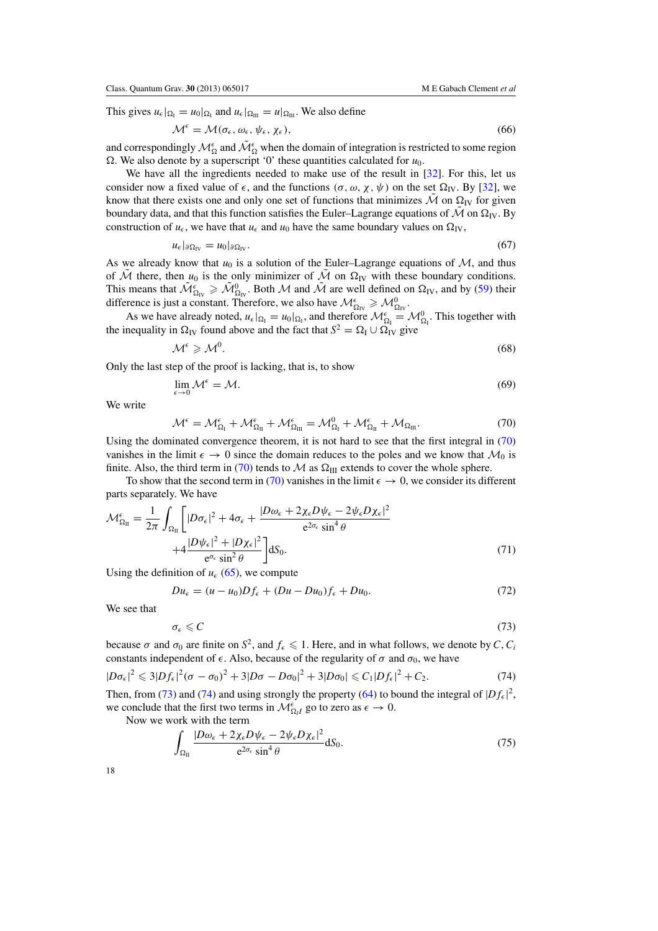<span id="page-18-0"></span>This gives  $u_{\epsilon}|_{\Omega_I} = u_0|_{\Omega_I}$  and  $u_{\epsilon}|_{\Omega_{III}} = u|_{\Omega_{III}}$ . We also define

$$
\mathcal{M}^{\epsilon} = \mathcal{M}(\sigma_{\epsilon}, \omega_{\epsilon}, \psi_{\epsilon}, \chi_{\epsilon}), \tag{66}
$$

and correspondingly  $\mathcal{M}_\Omega^\epsilon$  and  $\tilde{\mathcal{M}}_\Omega^\epsilon$  when the domain of integration is restricted to some region  $\Omega$ . We also denote by a superscript '0' these quantities calculated for  $u_0$ .

We have all the ingredients needed to make use of the result in [\[32](#page-29-0)]. For this, let us consider now a fixed value of  $\epsilon$ , and the functions  $(\sigma, \omega, \chi, \psi)$  on the set  $\Omega_{IV}$ . By [\[32](#page-29-0)], we know that there exists one and only one set of functions that minimizes  $\hat{M}$  on  $\Omega_{IV}$  for given boundary data, and that this function satisfies the Euler–Lagrange equations of M on  $\Omega$ <sub>IV</sub>. By construction of  $u_{\epsilon}$ , we have that  $u_{\epsilon}$  and  $u_0$  have the same boundary values on  $\Omega_{\text{IV}}$ ,

$$
u_{\epsilon}|_{\partial\Omega_{\rm IV}} = u_0|_{\partial\Omega_{\rm IV}}.\tag{67}
$$

As we already know that  $u_0$  is a solution of the Euler–Lagrange equations of  $M$ , and thus of  $\hat{\mathcal{M}}$  there, then  $u_0$  is the only minimizer of  $\hat{\mathcal{M}}$  on  $\Omega_{\text{IV}}$  with these boundary conditions. This means that  $\tilde{\mathcal{M}}_{\Omega_{IV}}^{\epsilon} \geq \tilde{\mathcal{M}}_{\Omega_{IV}}^0$ . Both M and  $\tilde{\mathcal{M}}$  are well defined on  $\Omega_{IV}$ , and by [\(59\)](#page-17-0) their difference is just a constant. Therefore, we also have  $\mathcal{M}_{\Omega_{IV}}^{\epsilon} \geq \mathcal{M}_{\Omega_{IV}}^0$ .

As we have already noted,  $u_{\epsilon}|_{\Omega_1} = u_0|_{\Omega_1}$ , and therefore  $\mathcal{M}_{\Omega_1}^{\epsilon} = \mathcal{M}_{\Omega_1}^0$ . This together with the inequality in  $\Omega_{IV}$  found above and the fact that  $S^2 = \Omega_{I} \cup \Omega_{IV}$  give

$$
\mathcal{M}^{\epsilon} \geqslant \mathcal{M}^{0}.\tag{68}
$$

Only the last step of the proof is lacking, that is, to show

$$
\lim_{\epsilon \to 0} \mathcal{M}^{\epsilon} = \mathcal{M}.
$$
\n(69)

We write

$$
\mathcal{M}^{\epsilon} = \mathcal{M}^{\epsilon}_{\Omega_{\mathrm{I}}} + \mathcal{M}^{\epsilon}_{\Omega_{\mathrm{II}}} + \mathcal{M}^{\epsilon}_{\Omega_{\mathrm{III}}} = \mathcal{M}^{0}_{\Omega_{\mathrm{I}}} + \mathcal{M}^{\epsilon}_{\Omega_{\mathrm{II}}} + \mathcal{M}_{\Omega_{\mathrm{III}}}.
$$
\n(70)

Using the dominated convergence theorem, it is not hard to see that the first integral in (70) vanishes in the limit  $\epsilon \to 0$  since the domain reduces to the poles and we know that  $\mathcal{M}_0$  is finite. Also, the third term in (70) tends to  $\mathcal M$  as  $\Omega_{\text{III}}$  extends to cover the whole sphere.

To show that the second term in (70) vanishes in the limit  $\epsilon \to 0$ , we consider its different parts separately. We have

$$
\mathcal{M}_{\Omega_{II}}^{\epsilon} = \frac{1}{2\pi} \int_{\Omega_{II}} \left[ |D\sigma_{\epsilon}|^2 + 4\sigma_{\epsilon} + \frac{|D\omega_{\epsilon} + 2\chi_{\epsilon}D\psi_{\epsilon} - 2\psi_{\epsilon}D\chi_{\epsilon}|^2}{e^{2\sigma_{\epsilon}}\sin^4\theta} + 4\frac{|D\psi_{\epsilon}|^2 + |D\chi_{\epsilon}|^2}{e^{\sigma_{\epsilon}}\sin^2\theta} \right] dS_0.
$$
\n(71)

Using the definition of  $u_{\epsilon}$  [\(65\)](#page-17-0), we compute

$$
Du_{\epsilon} = (u - u_0)Df_{\epsilon} + (Du - Du_0)f_{\epsilon} + Du_0.
$$
\n
$$
(72)
$$

We see that

$$
\sigma_{\epsilon} \leqslant C \tag{73}
$$

because σ and  $\sigma_0$  are finite on  $S^2$ , and  $f_\epsilon \leq 1$ . Here, and in what follows, we denote by *C*, *C<sub>i</sub>* constants independent of  $\epsilon$ . Also, because of the regularity of  $\sigma$  and  $\sigma_0$ , we have

$$
|D\sigma_{\epsilon}|^2 \leqslant 3|Df_{\epsilon}|^2(\sigma-\sigma_0)^2 + 3|D\sigma-D\sigma_0|^2 + 3|D\sigma_0| \leqslant C_1|Df_{\epsilon}|^2 + C_2. \tag{74}
$$

Then, from (73) and (74) and using strongly the property [\(64\)](#page-17-0) to bound the integral of  $|Df_{\epsilon}|^2$ , we conclude that the first two terms in  $\mathcal{M}_{\Omega_l}^{\epsilon}$  go to zero as  $\epsilon \to 0$ .

Now we work with the term

$$
\int_{\Omega_{\text{II}}} \frac{|D\omega_{\epsilon} + 2\chi_{\epsilon}D\psi_{\epsilon} - 2\psi_{\epsilon}D\chi_{\epsilon}|^2}{e^{2\sigma_{\epsilon}}\sin^4\theta} dS_0.
$$
\n(75)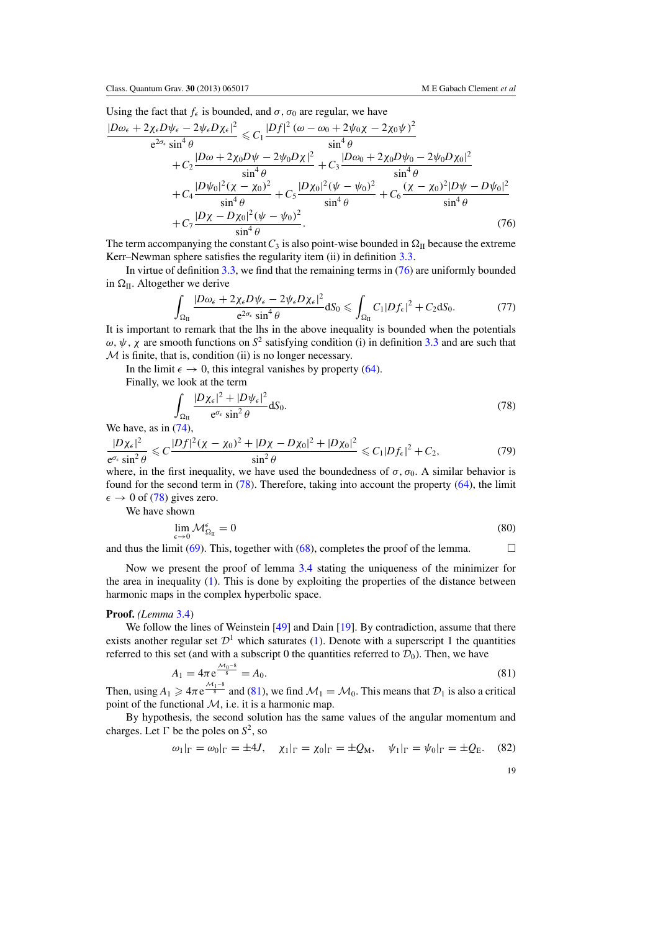<span id="page-19-0"></span>Using the fact that  $f_{\epsilon}$  is bounded, and  $\sigma$ ,  $\sigma_0$  are regular, we have

$$
\frac{|D\omega_{\epsilon} + 2\chi_{\epsilon}D\psi_{\epsilon} - 2\psi_{\epsilon}D\chi_{\epsilon}|^{2}}{e^{2\sigma_{\epsilon}}\sin^{4}\theta} \le C_{1}\frac{|Df|^{2}(\omega - \omega_{0} + 2\psi_{0}\chi - 2\chi_{0}\psi)^{2}}{\sin^{4}\theta} \n+ C_{2}\frac{|D\omega + 2\chi_{0}D\psi - 2\psi_{0}D\chi|^{2}}{\sin^{4}\theta} + C_{3}\frac{|D\omega_{0} + 2\chi_{0}D\psi_{0} - 2\psi_{0}D\chi_{0}|^{2}}{\sin^{4}\theta} \n+ C_{4}\frac{|D\psi_{0}|^{2}(\chi - \chi_{0})^{2}}{\sin^{4}\theta} + C_{5}\frac{|D\chi_{0}|^{2}(\psi - \psi_{0})^{2}}{\sin^{4}\theta} + C_{6}\frac{(\chi - \chi_{0})^{2}|D\psi - D\psi_{0}|^{2}}{\sin^{4}\theta} \n+ C_{7}\frac{|D\chi - D\chi_{0}|^{2}(\psi - \psi_{0})^{2}}{\sin^{4}\theta}.
$$
\n(76)

The term accompanying the constant  $C_3$  is also point-wise bounded in  $\Omega_{II}$  because the extreme Kerr–Newman sphere satisfies the regularity item (ii) in definition [3.3.](#page-8-0)

In virtue of definition [3.3,](#page-8-0) we find that the remaining terms in (76) are uniformly bounded in  $\Omega$ <sub>II</sub>. Altogether we derive

$$
\int_{\Omega_{II}} \frac{|D\omega_{\epsilon} + 2\chi_{\epsilon}D\psi_{\epsilon} - 2\psi_{\epsilon}D\chi_{\epsilon}|^2}{e^{2\sigma_{\epsilon}}\sin^4\theta} dS_0 \leq \int_{\Omega_{II}} C_1|Df_{\epsilon}|^2 + C_2 dS_0.
$$
\n(77)

It is important to remark that the lhs in the above inequality is bounded when the potentials  $ω, ψ, χ$  are smooth functions on  $S^2$  satisfying condition (i) in definition [3.3](#page-8-0) and are such that  $M$  is finite, that is, condition (ii) is no longer necessary.

In the limit  $\epsilon \to 0$ , this integral vanishes by property [\(64\)](#page-17-0).

Finally, we look at the term

$$
\int_{\Omega_{\text{II}}} \frac{|D\chi_{\epsilon}|^2 + |D\psi_{\epsilon}|^2}{e^{\sigma_{\epsilon}}\sin^2\theta} \, \mathrm{d}S_0. \tag{78}
$$

We have, as in  $(74)$ ,

$$
\frac{|D\chi_{\epsilon}|^2}{e^{\sigma_{\epsilon}}\sin^2\theta} \leq C \frac{|Df|^2(\chi - \chi_0)^2 + |D\chi - D\chi_0|^2 + |D\chi_0|^2}{\sin^2\theta} \leq C_1 |Df_{\epsilon}|^2 + C_2,\tag{79}
$$

where, in the first inequality, we have used the boundedness of  $\sigma$ ,  $\sigma_0$ . A similar behavior is found for the second term in (78). Therefore, taking into account the property [\(64\)](#page-17-0), the limit  $\epsilon \to 0$  of (78) gives zero.

We have shown

$$
\lim_{\epsilon \to 0} \mathcal{M}_{\Omega_{\rm II}}^{\epsilon} = 0 \tag{80}
$$

and thus the limit [\(69\)](#page-18-0). This, together with [\(68\)](#page-18-0), completes the proof of the lemma.  $\Box$ 

Now we present the proof of lemma [3.4](#page-8-0) stating the uniqueness of the minimizer for the area in inequality [\(1\)](#page-1-0). This is done by exploiting the properties of the distance between harmonic maps in the complex hyperbolic space.

# **Proof.** *(Lemma* [3.4\)](#page-8-0)

We follow the lines of Weinstein [\[49\]](#page-29-0) and Dain [\[19](#page-29-0)]. By contradiction, assume that there exists another regular set  $\mathcal{D}^1$  which saturates [\(1\)](#page-1-0). Denote with a superscript 1 the quantities referred to this set (and with a subscript 0 the quantities referred to  $\mathcal{D}_0$ ). Then, we have

$$
A_1 = 4\pi e^{\frac{\mathcal{M}_0 - 8}{8}} = A_0.
$$
\n(81)

Then, using  $A_1 \geq 4\pi e^{\frac{\mathcal{M}_1 - 8}{8}}$  and (81), we find  $\mathcal{M}_1 = \mathcal{M}_0$ . This means that  $\mathcal{D}_1$  is also a critical point of the functional  $M$ , i.e. it is a harmonic map.

By hypothesis, the second solution has the same values of the angular momentum and charges. Let  $\Gamma$  be the poles on  $S^2$ , so

$$
\omega_1|_{\Gamma} = \omega_0|_{\Gamma} = \pm 4J
$$
,  $\chi_1|_{\Gamma} = \chi_0|_{\Gamma} = \pm Q_M$ ,  $\psi_1|_{\Gamma} = \psi_0|_{\Gamma} = \pm Q_E$ . (82)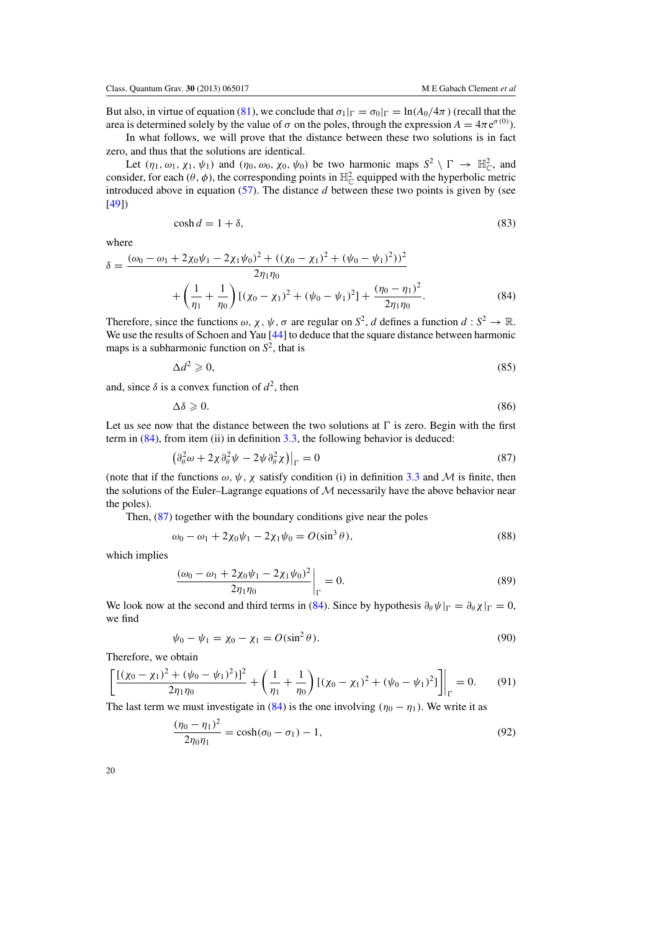<span id="page-20-0"></span>But also, in virtue of equation [\(81\)](#page-19-0), we conclude that  $\sigma_1|_{\Gamma} = \sigma_0|_{\Gamma} = \ln(A_0/4\pi)$  (recall that the area is determined solely by the value of  $\sigma$  on the poles, through the expression  $A = 4\pi e^{\sigma(0)}$ ).

In what follows, we will prove that the distance between these two solutions is in fact zero, and thus that the solutions are identical.

Let  $(\eta_1, \omega_1, \chi_1, \psi_1)$  and  $(\eta_0, \omega_0, \chi_0, \psi_0)$  be two harmonic maps  $S^2 \setminus \Gamma \to \mathbb{H}_{\mathbb{C}}^2$ , and consider, for each  $(\theta, \phi)$ , the corresponding points in  $\mathbb{H}_{\mathbb{C}}^2$  equipped with the hyperbolic metric introduced above in equation [\(57\)](#page-16-0). The distance *d* between these two points is given by (see [\[49](#page-29-0)])

$$
\cosh d = 1 + \delta,\tag{83}
$$

where

$$
\delta = \frac{(\omega_0 - \omega_1 + 2\chi_0\psi_1 - 2\chi_1\psi_0)^2 + ((\chi_0 - \chi_1)^2 + (\psi_0 - \psi_1)^2))^2}{2\eta_1\eta_0} + \left(\frac{1}{\eta_1} + \frac{1}{\eta_0}\right) [(\chi_0 - \chi_1)^2 + (\psi_0 - \psi_1)^2] + \frac{(\eta_0 - \eta_1)^2}{2\eta_1\eta_0}.
$$
\n(84)

Therefore, since the functions  $\omega$ ,  $\chi$ ,  $\psi$ ,  $\sigma$  are regular on  $S^2$ , *d* defines a function  $d : S^2 \to \mathbb{R}$ . We use the results of Schoen and Yau [\[44](#page-29-0)] to deduce that the square distance between harmonic maps is a subharmonic function on  $S^2$ , that is

$$
\Delta d^2 \geqslant 0,\tag{85}
$$

and, since  $\delta$  is a convex function of  $d^2$ , then

$$
\Delta \delta \geqslant 0. \tag{86}
$$

Let us see now that the distance between the two solutions at  $\Gamma$  is zero. Begin with the first term in  $(84)$ , from item (ii) in definition [3.3,](#page-8-0) the following behavior is deduced:

$$
\left(\partial_{\theta}^{2} \omega + 2\chi \partial_{\theta}^{2} \psi - 2\psi \partial_{\theta}^{2} \chi\right)\big|_{\Gamma} = 0
$$
\n(87)

(note that if the functions  $\omega$ ,  $\psi$ ,  $\chi$  satisfy condition (i) in definition [3.3](#page-8-0) and M is finite, then the solutions of the Euler–Lagrange equations of  $M$  necessarily have the above behavior near the poles).

Then,  $(87)$  together with the boundary conditions give near the poles

$$
\omega_0 - \omega_1 + 2\chi_0 \psi_1 - 2\chi_1 \psi_0 = O(\sin^3 \theta),\tag{88}
$$

which implies

$$
\left. \frac{(\omega_0 - \omega_1 + 2\chi_0 \psi_1 - 2\chi_1 \psi_0)^2}{2\eta_1 \eta_0} \right|_{\Gamma} = 0.
$$
\n(89)

We look now at the second and third terms in (84). Since by hypothesis  $\partial_{\theta} \psi|_{\Gamma} = \partial_{\theta} \chi|_{\Gamma} = 0$ , we find

$$
\psi_0 - \psi_1 = \chi_0 - \chi_1 = O(\sin^2 \theta). \tag{90}
$$

Therefore, we obtain

$$
\left[ \frac{\left[ (\chi_0 - \chi_1)^2 + (\psi_0 - \psi_1)^2 \right]^2}{2 \eta_1 \eta_0} + \left( \frac{1}{\eta_1} + \frac{1}{\eta_0} \right) \left[ (\chi_0 - \chi_1)^2 + (\psi_0 - \psi_1)^2 \right] \right]_{\Gamma} = 0. \tag{91}
$$

The last term we must investigate in (84) is the one involving  $(\eta_0 - \eta_1)$ . We write it as

$$
\frac{(\eta_0 - \eta_1)^2}{2\eta_0 \eta_1} = \cosh(\sigma_0 - \sigma_1) - 1,\tag{92}
$$

| a.      | ٧  |  |
|---------|----|--|
| ۰.<br>I | ٦  |  |
|         | ۰, |  |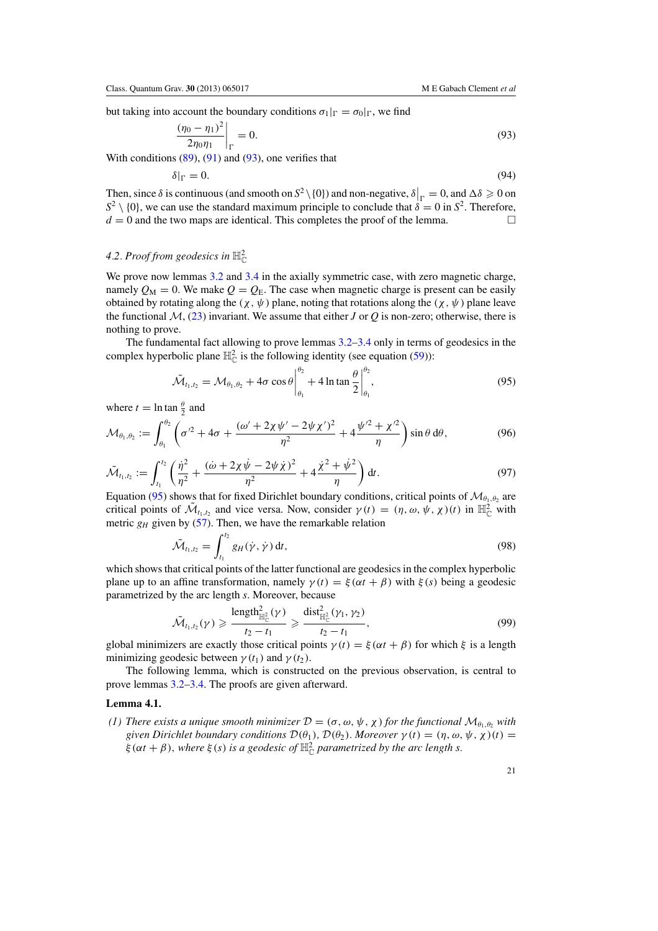<span id="page-21-0"></span>but taking into account the boundary conditions  $\sigma_1|_{\Gamma} = \sigma_0|_{\Gamma}$ , we find

$$
\left. \frac{(\eta_0 - \eta_1)^2}{2\eta_0 \eta_1} \right|_{\Gamma} = 0. \tag{93}
$$

With conditions  $(89)$ ,  $(91)$  and  $(93)$ , one verifies that

$$
\delta|_{\Gamma} = 0. \tag{94}
$$

Then, since  $\delta$  is continuous (and smooth on  $S^2 \setminus \{0\}$ ) and non-negative,  $\delta \big|_{\Gamma} = 0$ , and  $\Delta \delta \geq 0$  on  $S^2 \setminus \{0\}$ , we can use the standard maximum principle to conclude that  $\delta = 0$  in  $S^2$ . Therefore,  $d = 0$  and the two mans are identical. This completes the proof of the lemma  $d = 0$  and the two maps are identical. This completes the proof of the lemma.

# 4.2. Proof from geodesics in  $\mathbb{H}^2_\mathbb{C}$

We prove now lemmas [3.2](#page-8-0) and [3.4](#page-8-0) in the axially symmetric case, with zero magnetic charge, namely  $Q_M = 0$ . We make  $Q = Q_E$ . The case when magnetic charge is present can be easily obtained by rotating along the  $(\chi, \psi)$  plane, noting that rotations along the  $(\chi, \psi)$  plane leave the functional  $M$ , [\(23\)](#page-8-0) invariant. We assume that either *J* or *Q* is non-zero; otherwise, there is nothing to prove.

The fundamental fact allowing to prove lemmas [3.2–3.4](#page-8-0) only in terms of geodesics in the complex hyperbolic plane  $\mathbb{H}_{\mathbb{C}}^2$  is the following identity (see equation [\(59\)](#page-17-0)):

$$
\tilde{\mathcal{M}}_{t_1,t_2} = \mathcal{M}_{\theta_1,\theta_2} + 4\sigma \cos \theta \Big|_{\theta_1}^{\theta_2} + 4 \ln \tan \frac{\theta}{2} \Big|_{\theta_1}^{\theta_2},\tag{95}
$$

where  $t = \ln \tan \frac{\theta}{2}$  and

$$
\mathcal{M}_{\theta_1,\theta_2} := \int_{\theta_1}^{\theta_2} \left( \sigma^2 + 4\sigma + \frac{(\omega' + 2\chi\psi' - 2\psi\chi')^2}{\eta^2} + 4\frac{\psi'^2 + \chi'^2}{\eta} \right) \sin\theta \, d\theta, \tag{96}
$$

$$
\tilde{\mathcal{M}}_{t_1,t_2} := \int_{t_1}^{t_2} \left( \frac{\dot{\eta}^2}{\eta^2} + \frac{(\dot{\omega} + 2\chi \dot{\psi} - 2\psi \dot{\chi})^2}{\eta^2} + 4 \frac{\dot{\chi}^2 + \dot{\psi}^2}{\eta} \right) dt.
$$
\n(97)

Equation (95) shows that for fixed Dirichlet boundary conditions, critical points of  $\mathcal{M}_{\theta_1,\theta_2}$  are critical points of  $\tilde{\mathcal{M}}_{t_1,t_2}$  and vice versa. Now, consider  $\gamma(t) = (\eta, \omega, \psi, \chi)(t)$  in  $\mathbb{H}^2_{\mathbb{C}}$  with metric  $g_H$  given by [\(57\)](#page-16-0). Then, we have the remarkable relation

$$
\tilde{\mathcal{M}}_{t_1,t_2} = \int_{t_1}^{t_2} g_H(\dot{\gamma}, \dot{\gamma}) \, \mathrm{d}t,\tag{98}
$$

which shows that critical points of the latter functional are geodesics in the complex hyperbolic plane up to an affine transformation, namely  $\gamma(t) = \xi(\alpha t + \beta)$  with  $\xi(s)$  being a geodesic parametrized by the arc length *s*. Moreover, because

$$
\tilde{\mathcal{M}}_{t_1,t_2}(\gamma) \geqslant \frac{\text{length}_{\mathbb{H}_{\mathbb{C}}^2}^2(\gamma)}{t_2-t_1} \geqslant \frac{\text{dist}_{\mathbb{H}_{\mathbb{C}}^2}^2(\gamma_1,\gamma_2)}{t_2-t_1},\tag{99}
$$

global minimizers are exactly those critical points  $\gamma(t) = \xi(\alpha t + \beta)$  for which  $\xi$  is a length minimizing geodesic between  $\gamma(t_1)$  and  $\gamma(t_2)$ .

The following lemma, which is constructed on the previous observation, is central to prove lemmas [3.2–3.4.](#page-8-0) The proofs are given afterward.

#### **Lemma 4.1.**

*(1) There exists a unique smooth minimizer*  $D = (\sigma, \omega, \psi, \chi)$  *for the functional*  $M_{\theta_1, \theta_2}$  *with given Dirichlet boundary conditions*  $\mathcal{D}(\theta_1)$ *,*  $\mathcal{D}(\theta_2)$ *. Moreover*  $\gamma(t) = (\eta, \omega, \psi, \chi)(t)$  =  $\xi(\alpha t + \beta)$ , where  $\xi(s)$  is a geodesic of  $\mathbb{H}^2_{\mathbb{C}}$  parametrized by the arc length s.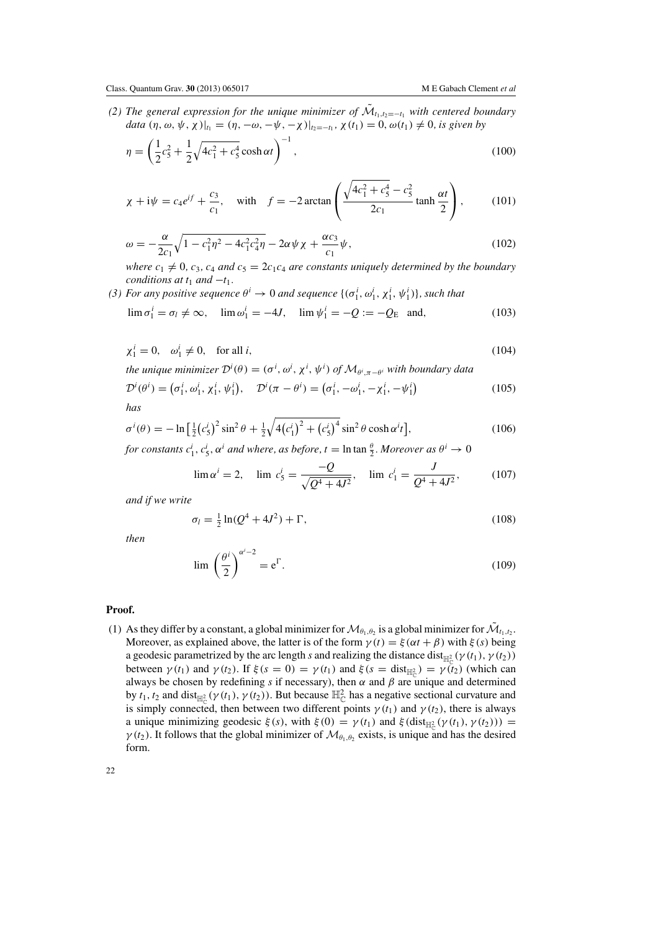<span id="page-22-0"></span>*(2) The general expression for the unique minimizer of*  $\tilde{M}_{t_1,t_2=-t_1}$  *with centered boundary data*  $(\eta, \omega, \psi, \chi)|_{t_1} = (\eta, -\omega, -\psi, -\chi)|_{t_2=-t_1}, \chi(t_1) = 0, \omega(t_1) \neq 0$ , is given by

$$
\eta = \left(\frac{1}{2}c_5^2 + \frac{1}{2}\sqrt{4c_1^2 + c_5^4}\cosh\alpha t\right)^{-1},\tag{100}
$$

$$
\chi + i\psi = c_4 e^{if} + \frac{c_3}{c_1}, \quad \text{with} \quad f = -2 \arctan\left(\frac{\sqrt{4c_1^2 + c_5^4} - c_5^2}{2c_1} \tanh\frac{\alpha t}{2}\right), \tag{101}
$$

$$
\omega = -\frac{\alpha}{2c_1}\sqrt{1 - c_1^2\eta^2 - 4c_1^2c_4^2\eta} - 2\alpha\psi\chi + \frac{\alpha c_3}{c_1}\psi,
$$
\n(102)

*where*  $c_1 \neq 0$ ,  $c_3$ ,  $c_4$  *and*  $c_5 = 2c_1c_4$  *are constants uniquely determined by the boundary conditions at*  $t_1$  *and*  $-t_1$ *.* 

*(3) For any positive sequence*  $\theta^i \to 0$  *and sequence*  $\{(\sigma^i_1, \omega^i_1, \chi^i_1, \psi^i_1)\}\$ , such that

$$
\lim \sigma_1^i = \sigma_l \neq \infty, \quad \lim \omega_1^i = -4J, \quad \lim \psi_1^i = -Q := -Q_E \text{ and,}
$$
\n(103)

$$
\chi_1^i = 0, \quad \omega_1^i \neq 0, \quad \text{for all } i,
$$
\n<sup>(104)</sup>

*the unique minimizer*  $\mathcal{D}^i(\theta) = (\sigma^i, \omega^i, \chi^i, \psi^i)$  *of*  $\mathcal{M}_{\theta^i, \pi - \theta^i}$  *with boundary data* 

$$
\mathcal{D}^i(\theta^i) = \left(\sigma_1^i, \omega_1^i, \chi_1^i, \psi_1^i\right), \quad \mathcal{D}^i(\pi - \theta^i) = \left(\sigma_1^i, -\omega_1^i, -\chi_1^i, -\psi_1^i\right)
$$
\n(105)

*has*

$$
\sigma^{i}(\theta) = -\ln\left[\frac{1}{2}(c_{5}^{i})^{2}\sin^{2}\theta + \frac{1}{2}\sqrt{4(c_{1}^{i})^{2} + (c_{5}^{i})^{4}}\sin^{2}\theta\cosh\alpha^{i}t\right],
$$
\n(106)

*for constants*  $c_1^i$ ,  $c_5^i$ ,  $\alpha^i$  *and where, as before, t* = ln tan  $\frac{\theta}{2}$ *. Moreover as*  $\theta^i \to 0$ 

$$
\lim \alpha^i = 2, \quad \lim c_5^i = \frac{-Q}{\sqrt{Q^4 + 4J^2}}, \quad \lim c_1^i = \frac{J}{Q^4 + 4J^2}, \tag{107}
$$

*and if we write*

$$
\sigma_l = \frac{1}{2} \ln(Q^4 + 4J^2) + \Gamma,\tag{108}
$$

*then*

$$
\lim_{z \to 0} \left(\frac{\theta^i}{2}\right)^{\alpha^i - 2} = e^{\Gamma}.
$$
\n(109)

# **Proof.**

(1) As they differ by a constant, a global minimizer for  $\mathcal{M}_{\theta_1,\theta_2}$  is a global minimizer for  $\mathcal{M}_{t_1,t_2}$ . Moreover, as explained above, the latter is of the form  $\gamma(t) = \xi(\alpha t + \beta)$  with  $\xi(s)$  being a geodesic parametrized by the arc length *s* and realizing the distance dist<sub>H<sup>2</sup></sub> ( $\gamma$  (*t*<sub>1</sub>),  $\gamma$  (*t*<sub>2</sub>)) between  $\gamma(t_1)$  and  $\gamma(t_2)$ . If  $\xi(s = 0) = \gamma(t_1)$  and  $\xi(s = \text{dist}_{\mathbb{H}_{\mathbb{C}}^2}) = \gamma(t_2)$  (which can always be chosen by redefining *s* if necessary), then  $\alpha$  and  $\beta$  are unique and determined by  $t_1$ ,  $t_2$  and dist<sub>H<sup>2</sup></sub> ( $\gamma$  ( $t_1$ ),  $\gamma$  ( $t_2$ )). But because H<sup>2</sup><sub>C</sub> has a negative sectional curvature and is simply connected, then between two different points  $\gamma(t_1)$  and  $\gamma(t_2)$ , there is always a unique minimizing geodesic  $\xi(s)$ , with  $\xi(0) = \gamma(t_1)$  and  $\xi(\text{dist}_{\mathbb{H}_{\mathbb{C}}^2}(\gamma(t_1), \gamma(t_2))) =$  $\gamma(t_2)$ . It follows that the global minimizer of  $\mathcal{M}_{\theta_1,\theta_2}$  exists, is unique and has the desired form.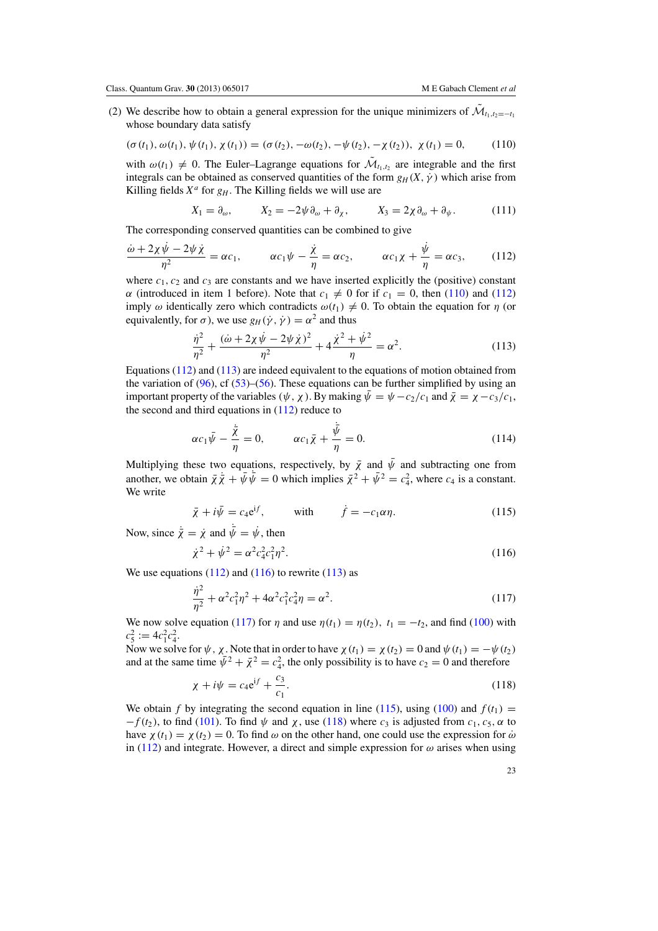<span id="page-23-0"></span>(2) We describe how to obtain a general expression for the unique minimizers of  $\mathcal{M}_{t_1,t_2=-t_1}$ whose boundary data satisfy

$$
(\sigma(t_1), \omega(t_1), \psi(t_1), \chi(t_1)) = (\sigma(t_2), -\omega(t_2), -\psi(t_2), -\chi(t_2)), \chi(t_1) = 0,
$$
 (110)

with  $\omega(t_1) \neq 0$ . The Euler–Lagrange equations for  $\tilde{\mathcal{M}}_{t_1,t_2}$  are integrable and the first integrals can be obtained as conserved quantities of the form  $g_H(X, \dot{\gamma})$  which arise from Killing fields  $X^a$  for  $g_H$ . The Killing fields we will use are

$$
X_1 = \partial_{\omega}, \qquad X_2 = -2\psi \partial_{\omega} + \partial_{\chi}, \qquad X_3 = 2\chi \partial_{\omega} + \partial_{\psi}. \tag{111}
$$

The corresponding conserved quantities can be combined to give

$$
\frac{\dot{\omega} + 2\chi\dot{\psi} - 2\psi\dot{\chi}}{\eta^2} = \alpha c_1, \qquad \alpha c_1\psi - \frac{\dot{\chi}}{\eta} = \alpha c_2, \qquad \alpha c_1\chi + \frac{\dot{\psi}}{\eta} = \alpha c_3, \qquad (112)
$$

where  $c_1$ ,  $c_2$  and  $c_3$  are constants and we have inserted explicitly the (positive) constant  $α$  (introduced in item 1 before). Note that  $c_1 ≠ 0$  for if  $c_1 = 0$ , then (110) and (112) imply  $\omega$  identically zero which contradicts  $\omega(t_1) \neq 0$ . To obtain the equation for  $\eta$  (or equivalently, for  $\sigma$ ), we use  $g_H(\dot{\gamma}, \dot{\gamma}) = \alpha^2$  and thus

$$
\frac{\dot{\eta}^2}{\eta^2} + \frac{(\dot{\omega} + 2\chi\dot{\psi} - 2\psi\dot{\chi})^2}{\eta^2} + 4\frac{\dot{\chi}^2 + \dot{\psi}^2}{\eta} = \alpha^2.
$$
 (113)

Equations (112) and (113) are indeed equivalent to the equations of motion obtained from the variation of  $(96)$ , cf  $(53)$ – $(56)$ . These equations can be further simplified by using an important property of the variables  $(\psi, \chi)$ . By making  $\bar{\psi} = \psi - c_2/c_1$  and  $\bar{\chi} = \chi - c_3/c_1$ , the second and third equations in (112) reduce to

$$
\alpha c_1 \bar{\psi} - \frac{\dot{\bar{\chi}}}{\eta} = 0, \qquad \alpha c_1 \bar{\chi} + \frac{\bar{\psi}}{\eta} = 0.
$$
 (114)

Multiplying these two equations, respectively, by  $\bar{\chi}$  and  $\bar{\psi}$  and subtracting one from another, we obtain  $\bar{\chi} \dot{\bar{\chi}} + \bar{\psi} \bar{\psi} = 0$  which implies  $\bar{\chi}^2 + \bar{\psi}^2 = c_4^2$ , where  $c_4$  is a constant. We write

$$
\bar{\chi} + i\bar{\psi} = c_4 e^{if}, \qquad \text{with} \qquad \dot{f} = -c_1 \alpha \eta. \tag{115}
$$

Now, since  $\dot{\bar{\chi}} = \dot{\chi}$  and  $\bar{\psi} = \dot{\psi}$ , then

$$
\dot{\chi}^2 + \dot{\psi}^2 = \alpha^2 c_4^2 c_1^2 \eta^2. \tag{116}
$$

We use equations  $(112)$  and  $(116)$  to rewrite  $(113)$  as

$$
\frac{\dot{\eta}^2}{\eta^2} + \alpha^2 c_1^2 \eta^2 + 4\alpha^2 c_1^2 c_4^2 \eta = \alpha^2.
$$
 (117)

We now solve equation (117) for  $\eta$  and use  $\eta(t_1) = \eta(t_2)$ ,  $t_1 = -t_2$ , and find [\(100\)](#page-22-0) with  $c_5^2 := 4c_1^2c_4^2.$ 

Now we solve for  $\psi$ ,  $\chi$ . Note that in order to have  $\chi(t_1) = \chi(t_2) = 0$  and  $\psi(t_1) = -\psi(t_2)$ and at the same time  $\bar{\psi}^2 + \bar{\chi}^2 = c_4^2$ , the only possibility is to have  $c_2 = 0$  and therefore

$$
\chi + i\psi = c_4 e^{if} + \frac{c_3}{c_1}.
$$
\n(118)

We obtain *f* by integrating the second equation in line (115), using [\(100\)](#page-22-0) and  $f(t_1)$  =  $-f(t_2)$ , to find [\(101\)](#page-22-0). To find  $\psi$  and  $\chi$ , use (118) where *c*<sub>3</sub> is adjusted from *c*<sub>1</sub>, *c*<sub>5</sub>,  $\alpha$  to have  $\chi(t_1) = \chi(t_2) = 0$ . To find  $\omega$  on the other hand, one could use the expression for  $\dot{\omega}$ in (112) and integrate. However, a direct and simple expression for  $\omega$  arises when using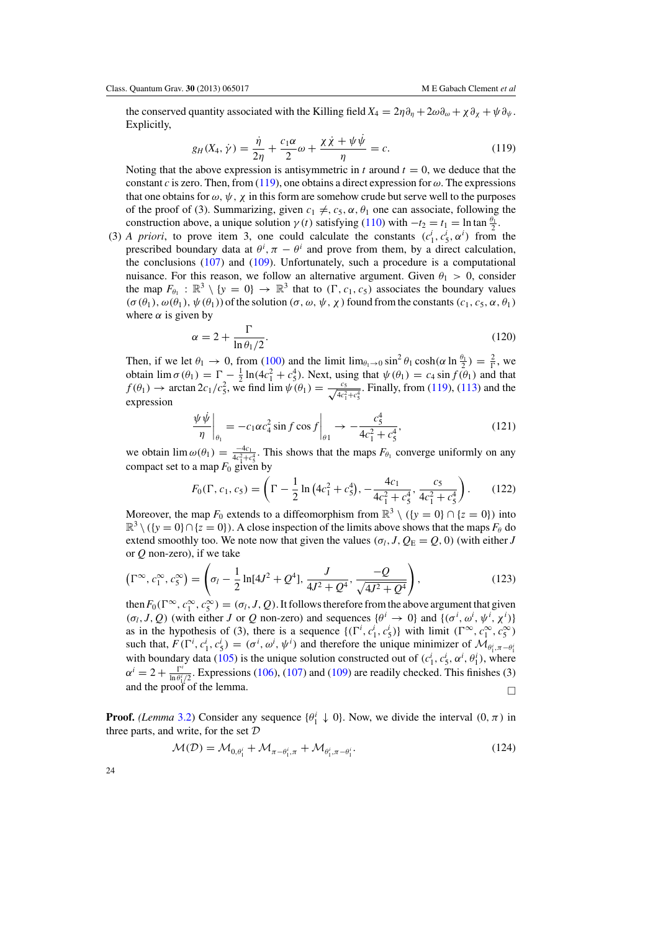<span id="page-24-0"></span>the conserved quantity associated with the Killing field  $X_4 = 2\eta \partial_\eta + 2\omega \partial_\omega + \chi \partial_\chi + \psi \partial_\psi$ . Explicitly,

$$
g_H(X_4, \dot{\gamma}) = \frac{\dot{\eta}}{2\eta} + \frac{c_1 \alpha}{2} \omega + \frac{\chi \dot{\chi} + \psi \dot{\psi}}{\eta} = c.
$$
 (119)

Noting that the above expression is antisymmetric in  $t$  around  $t = 0$ , we deduce that the constant *c* is zero. Then, from (119), one obtains a direct expression for  $\omega$ . The expressions that one obtains for  $\omega$ ,  $\psi$ ,  $\chi$  in this form are somehow crude but serve well to the purposes of the proof of (3). Summarizing, given  $c_1 \neq, c_5, \alpha, \theta_1$  one can associate, following the construction above, a unique solution  $\gamma(t)$  satisfying [\(110\)](#page-23-0) with  $-t_2 = t_1 = \ln \tan \frac{\theta_1}{2}$ .

(3) *A priori*, to prove item 3, one could calculate the constants  $(c_1^i, c_5^i, \alpha^i)$  from the prescribed boundary data at  $\theta^i$ ,  $\pi - \theta^i$  and prove from them, by a direct calculation, the conclusions [\(107\)](#page-22-0) and [\(109\)](#page-22-0). Unfortunately, such a procedure is a computational nuisance. For this reason, we follow an alternative argument. Given  $\theta_1 > 0$ , consider the map  $F_{\theta_1} : \mathbb{R}^3 \setminus \{y = 0\} \to \mathbb{R}^3$  that to  $(\Gamma, c_1, c_5)$  associates the boundary values  $(\sigma(\theta_1), \omega(\theta_1), \psi(\theta_1))$  of the solution  $(\sigma, \omega, \psi, \chi)$  found from the constants  $(c_1, c_5, \alpha, \theta_1)$ where  $\alpha$  is given by

$$
\alpha = 2 + \frac{\Gamma}{\ln \theta_1 / 2}.\tag{120}
$$

Then, if we let  $\theta_1 \to 0$ , from [\(100\)](#page-22-0) and the limit  $\lim_{\theta_1 \to 0} \sin^2 \theta_1 \cosh(\alpha \ln \frac{\theta_1}{2}) = \frac{2}{\Gamma}$ , we obtain  $\lim \sigma(\theta_1) = \Gamma - \frac{1}{2} \ln(4c_1^2 + c_5^4)$ . Next, using that  $\psi(\theta_1) = c_4 \sin f(\theta_1)$  and that  $f(\theta_1) \to \arctan 2c_1/c_5^2$ , we find  $\lim_{\phi \to 0} \psi(\theta_1) = \frac{c_5}{\sqrt{4c_1^2+c_5^4}}$ . Finally, from (119), [\(113\)](#page-23-0) and the expression

$$
\left. \frac{\psi \,\dot{\psi}}{\eta} \right|_{\theta_1} = -c_1 \alpha c_4^2 \sin f \cos f \bigg|_{\theta_1} \to -\frac{c_5^4}{4c_1^2 + c_5^4},\tag{121}
$$

we obtain  $\lim_{\omega(\theta_1)} \omega(\theta_1) = \frac{-4c_1}{4c_1^2+c_5^4}$ . This shows that the maps  $F_{\theta_1}$  converge uniformly on any compact set to a map  $F_0$  given by

$$
F_0(\Gamma, c_1, c_5) = \left(\Gamma - \frac{1}{2}\ln\left(4c_1^2 + c_5^4\right), -\frac{4c_1}{4c_1^2 + c_5^4}, \frac{c_5}{4c_1^2 + c_5^4}\right). \tag{122}
$$

Moreover, the map  $F_0$  extends to a diffeomorphism from  $\mathbb{R}^3 \setminus (\{y = 0\} \cap \{z = 0\})$  into  $\mathbb{R}^3 \setminus (\{y = 0\} \cap \{z = 0\})$ . A close inspection of the limits above shows that the maps  $F_{\theta}$  do extend smoothly too. We note now that given the values ( $\sigma_l$ , *J*,  $Q_E = Q$ , 0) (with either *J* or *Q* non-zero), if we take

$$
\left(\Gamma^{\infty}, c_1^{\infty}, c_5^{\infty}\right) = \left(\sigma_l - \frac{1}{2}\ln[4J^2 + Q^4], \frac{J}{4J^2 + Q^4}, \frac{-Q}{\sqrt{4J^2 + Q^4}}\right),\tag{123}
$$

then  $F_0(\Gamma^\infty, c_1^\infty, c_5^\infty) = (\sigma_l, J, Q)$ . It follows therefore from the above argument that given (*σ<sub>l</sub>*, *J*, *Q*) (with either *J* or *Q* non-zero) and sequences { $θ<sup>i</sup> → 0$ } and {( $σ<sup>i</sup>, ω<sup>i</sup>, χ<sup>i</sup>$ )} as in the hypothesis of (3), there is a sequence  $\{(r^i, c^i, c^i, s^j)\}$  with limit  $(r^{\infty}, c^{\infty}_1, c^{\infty}_5)$ such that,  $F(\Gamma^i, c_1^i, c_5^i) = (\sigma^i, \omega^i, \psi^i)$  and therefore the unique minimizer of  $\mathcal{M}_{\theta_1^i, \pi - \theta_1^i}$ with boundary data [\(105\)](#page-22-0) is the unique solution constructed out of  $(c_1^i, c_5^i, \alpha^i, \theta_1^i)$ , where  $\alpha^i = 2 + \frac{\Gamma^i}{\ln \theta^i/2}$ . Expressions [\(106\)](#page-22-0), [\(107\)](#page-22-0) and [\(109\)](#page-22-0) are readily checked. This finishes (3) and the proof of the lemma.  $\Box$ 

**Proof.** *(Lemma* [3.2\)](#page-8-0) Consider any sequence  $\{\theta_1^i \downarrow 0\}$ . Now, we divide the interval  $(0, \pi)$  in three parts, and write, for the set  $D$ 

$$
\mathcal{M}(\mathcal{D}) = \mathcal{M}_{0,\theta_1^i} + \mathcal{M}_{\pi-\theta_1^i,\pi} + \mathcal{M}_{\theta_1^i,\pi-\theta_1^i}.
$$
\n(124)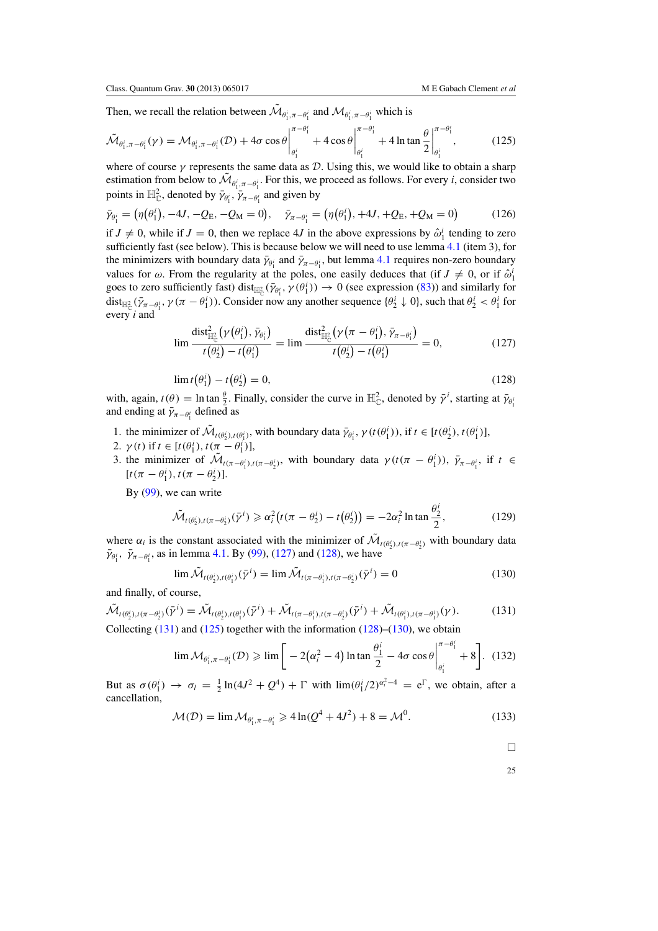Then, we recall the relation between  $\mathcal{M}_{\theta_i^i, \pi-\theta_i^i}$  and  $\mathcal{M}_{\theta_i^i, \pi-\theta_i^i}$  which is

$$
\tilde{\mathcal{M}}_{\theta_1^i, \pi - \theta_1^i}(\gamma) = \mathcal{M}_{\theta_1^i, \pi - \theta_1^i}(\mathcal{D}) + 4\sigma \cos \theta \Big|_{\theta_1^i}^{\pi - \theta_1^i} + 4\cos \theta \Big|_{\theta_1^i}^{\pi - \theta_1^i} + 4\ln \tan \frac{\theta}{2} \Big|_{\theta_1^i}^{\pi - \theta_1^i},
$$
\n(125)

where of course  $\gamma$  represents the same data as D. Using this, we would like to obtain a sharp estimation from below to  $\mathcal{M}_{\theta_1^i, \pi-\theta_1^i}$ . For this, we proceed as follows. For every *i*, consider two points in  $\mathbb{H}_{\mathbb{C}}^2$ , denoted by  $\bar{\gamma}_{\theta_1^i}, \bar{\gamma}_{\pi-\theta_1^i}$  and given by

$$
\bar{\gamma}_{\theta_1^i} = (\eta(\theta_1^i), -4J, -Q_E, -Q_M = 0), \quad \bar{\gamma}_{\pi - \theta_1^i} = (\eta(\theta_1^i), +4J, +Q_E, +Q_M = 0)
$$
(126)

if  $J \neq 0$ , while if  $J = 0$ , then we replace 4*J* in the above expressions by  $\hat{\omega}_1^i$  tending to zero sufficiently fast (see below). This is because below we will need to use lemma [4.1](#page-21-0) (item 3), for the minimizers with boundary data  $\bar{\gamma}_{\theta_1^i}$  and  $\bar{\gamma}_{\pi-\theta_1^i}$ , but lemma [4.1](#page-21-0) requires non-zero boundary values for  $\omega$ . From the regularity at the poles, one easily deduces that (if  $J \neq 0$ , or if  $\hat{\omega}_1^i$ goes to zero sufficiently fast) dist<sub> $\mathbb{H}^2_{\mathbb{C}}(\bar{\gamma}_{\theta_1^i}, \gamma(\theta_1^i)) \to 0$  (see expression [\(83\)](#page-20-0)) and similarly for</sub> dist<sub> $\mathbb{H}^2_{\mathbb{C}}(\bar{\gamma}_{\pi-\theta_1^i}, \gamma(\pi-\theta_1^i))$ . Consider now any another sequence  $\{\theta_2^i \downarrow 0\}$ , such that  $\theta_2^i < \theta_1^i$  for</sub> every *i* and

$$
\lim \frac{\text{dist}_{\mathbb{H}_{\mathbb{C}}^2}^2(\gamma(\theta_1^i), \bar{\gamma}_{\theta_1^i})}{t(\theta_2^i) - t(\theta_1^i)} = \lim \frac{\text{dist}_{\mathbb{H}_{\mathbb{C}}^2}^2(\gamma(\pi - \theta_1^i), \bar{\gamma}_{\pi - \theta_1^i})}{t(\theta_2^i) - t(\theta_1^i)} = 0,
$$
\n(127)

$$
\lim t(\theta_1^i) - t(\theta_2^i) = 0,\tag{128}
$$

with, again,  $t(\theta) = \ln \tan \frac{\theta}{2}$ . Finally, consider the curve in  $\mathbb{H}_{\mathbb{C}}^2$ , denoted by  $\bar{\gamma}^i$ , starting at  $\bar{\gamma}_{\theta_i}$ and ending at  $\bar{\gamma}_{\pi-\theta_1^i}$  defined as

- 1. the minimizer of  $\mathcal{M}_{t(\theta_2^i), t(\theta_1^i)}$ , with boundary data  $\bar{\gamma}_{\theta_1^i}, \gamma(t(\theta_1^i))$ , if  $t \in [t(\theta_2^i), t(\theta_1^i)]$ ,
- 2.  $\gamma(t)$  if  $t \in [t(\theta_1^i), t(\pi \theta_1^i)],$

3. the minimizer of  $\mathcal{M}_{t(\pi-\theta_1^i),t(\pi-\theta_2^i)}$ , with boundary data  $\gamma(t(\pi-\theta_1^i)), \bar{\gamma}_{\pi-\theta_1^i}$ , if  $t \in$  $[t(\pi - \theta_1^i), t(\pi - \theta_2^i)].$ 

By [\(99\)](#page-21-0), we can write

$$
\tilde{\mathcal{M}}_{t(\theta_2^i),t(\pi-\theta_2^i)}(\bar{\gamma}^i) \geq \alpha_i^2 \big(t(\pi-\theta_2^i)-t(\theta_2^i)\big) = -2\alpha_i^2 \ln \tan \frac{\theta_2^i}{2},\tag{129}
$$

where  $\alpha_i$  is the constant associated with the minimizer of  $\mathcal{M}_{t(\theta_i^i), t(\pi-\theta_i^i)}$  with boundary data  $\bar{\gamma}_{\theta_1^i}, \bar{\gamma}_{\pi-\theta_1^i}$ , as in lemma [4.1.](#page-21-0) By [\(99\)](#page-21-0), (127) and (128), we have

$$
\lim \widetilde{\mathcal{M}}_{t(\theta_2^j),t(\theta_1^j)}(\bar{\gamma}^i) = \lim \widetilde{\mathcal{M}}_{t(\pi - \theta_1^j),t(\pi - \theta_2^j)}(\bar{\gamma}^i) = 0
$$
\n(130)

and finally, of course,

$$
\tilde{\mathcal{M}}_{t(\theta_2^i), t(\pi - \theta_2^i)}(\bar{\gamma}^i) = \tilde{\mathcal{M}}_{t(\theta_2^i), t(\theta_1^i)}(\bar{\gamma}^i) + \tilde{\mathcal{M}}_{t(\pi - \theta_1^i), t(\pi - \theta_2^i)}(\bar{\gamma}^i) + \tilde{\mathcal{M}}_{t(\theta_1^i), t(\pi - \theta_1^i)}(\gamma).
$$
\n(131)

Collecting  $(131)$  and  $(125)$  together with the information  $(128)$ – $(130)$ , we obtain

$$
\lim \mathcal{M}_{\theta_1^i, \pi - \theta_1^i}(\mathcal{D}) \ge \lim \left[ -2(\alpha_i^2 - 4) \ln \tan \frac{\theta_1^i}{2} - 4\sigma \cos \theta \Big|_{\theta_1^i}^{\pi - \theta_1^i} + 8 \right]. \tag{132}
$$

But as  $\sigma(\theta_1^i) \to \sigma_l = \frac{1}{2} \ln(4J^2 + Q^4) + \Gamma$  with  $\lim_{i \to \infty} (\theta_1^i/2)^{\alpha_i^2 - 4} = e^{\Gamma}$ , we obtain, after a cancellation,

$$
\mathcal{M}(\mathcal{D}) = \lim \mathcal{M}_{\theta_1^i, \pi - \theta_1^i} \geqslant 4 \ln(Q^4 + 4J^2) + 8 = \mathcal{M}^0. \tag{133}
$$

 $\Box$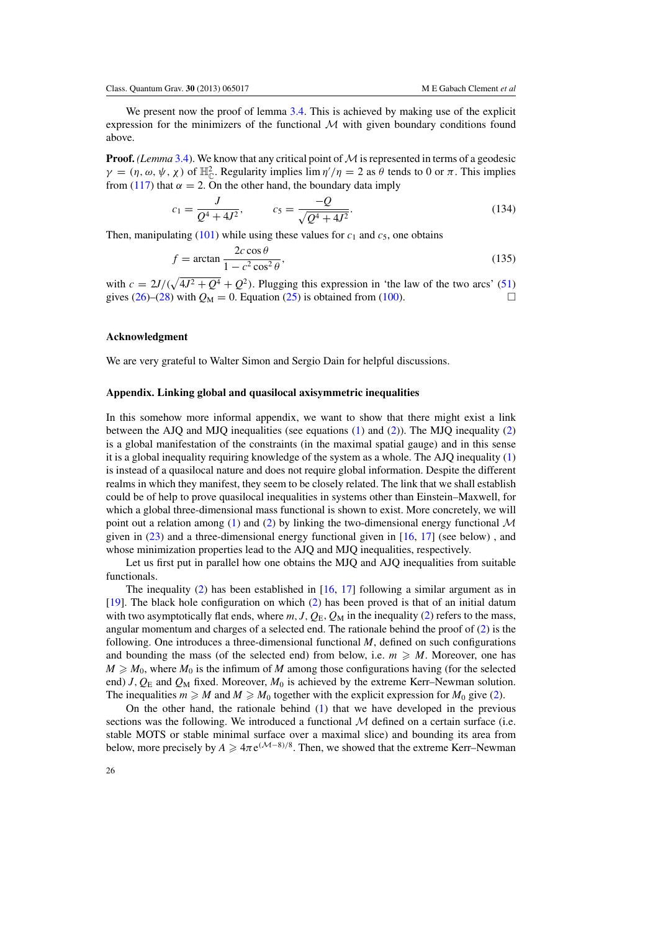<span id="page-26-0"></span>We present now the proof of lemma [3.4.](#page-8-0) This is achieved by making use of the explicit expression for the minimizers of the functional  $M$  with given boundary conditions found above.

**Proof.** *(Lemma* [3.4\)](#page-8-0). We know that any critical point of  $M$  is represented in terms of a geodesic  $\gamma = (\eta, \omega, \psi, \chi)$  of  $\mathbb{H}_{\mathbb{C}}^2$ . Regularity implies  $\lim \eta'/\eta = 2$  as  $\theta$  tends to 0 or  $\pi$ . This implies from [\(117\)](#page-23-0) that  $\alpha = 2$ . On the other hand, the boundary data imply

$$
c_1 = \frac{J}{Q^4 + 4J^2}, \qquad c_5 = \frac{-Q}{\sqrt{Q^4 + 4J^2}}.
$$
\n(134)

Then, manipulating  $(101)$  while using these values for  $c_1$  and  $c_5$ , one obtains

$$
f = \arctan\frac{2c\cos\theta}{1 - c^2\cos^2\theta},\tag{135}
$$

with  $c = 2J/(\sqrt{4J^2 + Q^4} + Q^2)$ . Plugging this expression in 'the law of the two arcs' [\(51\)](#page-14-0) gives [\(26\)](#page-8-0)–[\(28\)](#page-9-0) with  $Q_M = 0$ . Equation [\(25\)](#page-8-0) is obtained from [\(100\)](#page-22-0).

#### **Acknowledgment**

We are very grateful to Walter Simon and Sergio Dain for helpful discussions.

# **Appendix. Linking global and quasilocal axisymmetric inequalities**

In this somehow more informal appendix, we want to show that there might exist a link between the AJQ and MJQ inequalities (see equations [\(1\)](#page-1-0) and [\(2\)](#page-2-0)). The MJQ inequality [\(2\)](#page-2-0) is a global manifestation of the constraints (in the maximal spatial gauge) and in this sense it is a global inequality requiring knowledge of the system as a whole. The AJQ inequality [\(1\)](#page-1-0) is instead of a quasilocal nature and does not require global information. Despite the different realms in which they manifest, they seem to be closely related. The link that we shall establish could be of help to prove quasilocal inequalities in systems other than Einstein–Maxwell, for which a global three-dimensional mass functional is shown to exist. More concretely, we will point out a relation among [\(1\)](#page-1-0) and [\(2\)](#page-2-0) by linking the two-dimensional energy functional  $\mathcal M$ given in  $(23)$  and a three-dimensional energy functional given in  $[16, 17]$  $[16, 17]$  $[16, 17]$  $[16, 17]$  (see below), and whose minimization properties lead to the AJQ and MJQ inequalities, respectively.

Let us first put in parallel how one obtains the MJQ and AJQ inequalities from suitable functionals.

The inequality [\(2\)](#page-2-0) has been established in  $[16, 17]$  $[16, 17]$  $[16, 17]$  $[16, 17]$  following a similar argument as in [\[19](#page-29-0)]. The black hole configuration on which [\(2\)](#page-2-0) has been proved is that of an initial datum with two asymptotically flat ends, where  $m$ ,  $J$ ,  $Q_E$ ,  $Q_M$  in the inequality [\(2\)](#page-2-0) refers to the mass, angular momentum and charges of a selected end. The rationale behind the proof of [\(2\)](#page-2-0) is the following. One introduces a three-dimensional functional *M*, defined on such configurations and bounding the mass (of the selected end) from below, i.e.  $m \ge M$ . Moreover, one has  $M \geq M_0$ , where  $M_0$  is the infimum of *M* among those configurations having (for the selected end)  $J$ ,  $Q_E$  and  $Q_M$  fixed. Moreover,  $M_0$  is achieved by the extreme Kerr–Newman solution. The inequalities  $m \ge M$  and  $M \ge M_0$  together with the explicit expression for  $M_0$  give [\(2\)](#page-2-0).

On the other hand, the rationale behind  $(1)$  that we have developed in the previous sections was the following. We introduced a functional  $M$  defined on a certain surface (i.e. stable MOTS or stable minimal surface over a maximal slice) and bounding its area from below, more precisely by  $A \geq 4\pi e^{(\mathcal{M}-8)/8}$ . Then, we showed that the extreme Kerr–Newman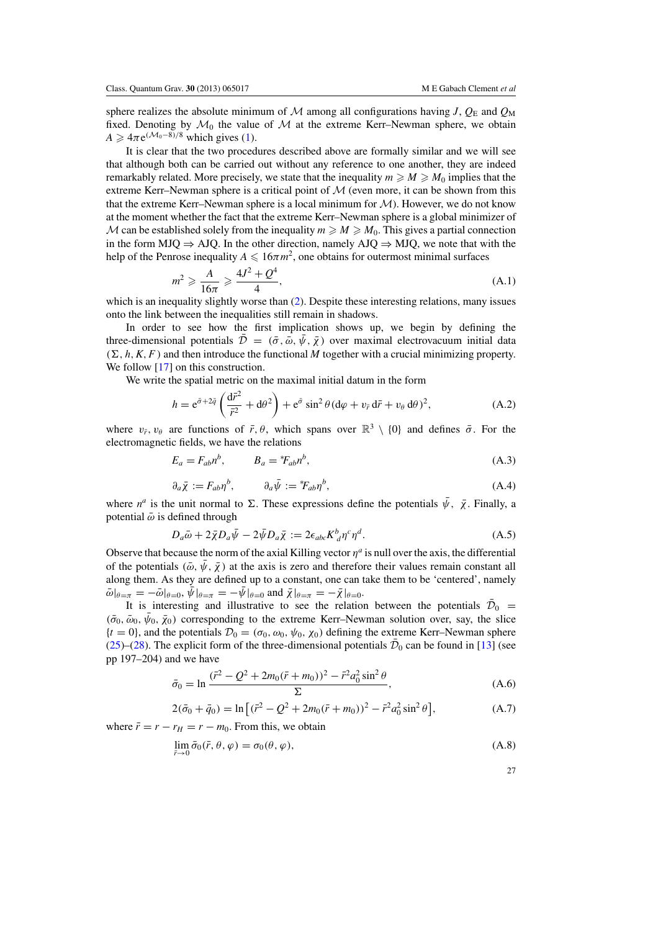<span id="page-27-0"></span>sphere realizes the absolute minimum of M among all configurations having *J*,  $Q_{\rm E}$  and  $Q_{\rm M}$ fixed. Denoting by  $\mathcal{M}_0$  the value of  $\mathcal M$  at the extreme Kerr–Newman sphere, we obtain  $A \geq 4\pi e^{(\mathcal{M}_0 - 8)/8}$  which gives [\(1\)](#page-1-0).

It is clear that the two procedures described above are formally similar and we will see that although both can be carried out without any reference to one another, they are indeed remarkably related. More precisely, we state that the inequality  $m \ge M \ge M_0$  implies that the extreme Kerr–Newman sphere is a critical point of  $M$  (even more, it can be shown from this that the extreme Kerr–Newman sphere is a local minimum for  $\mathcal{M}$ ). However, we do not know at the moment whether the fact that the extreme Kerr–Newman sphere is a global minimizer of M can be established solely from the inequality  $m \ge M \ge M_0$ . This gives a partial connection in the form MJQ  $\Rightarrow$  AJQ. In the other direction, namely AJQ  $\Rightarrow$  MJQ, we note that with the help of the Penrose inequality  $A \leq 16\pi m^2$ , one obtains for outermost minimal surfaces

$$
m^2 \geqslant \frac{A}{16\pi} \geqslant \frac{4J^2 + Q^4}{4},\tag{A.1}
$$

which is an inequality slightly worse than [\(2\)](#page-2-0). Despite these interesting relations, many issues onto the link between the inequalities still remain in shadows.

In order to see how the first implication shows up, we begin by defining the three-dimensional potentials  $\mathcal{D} = (\bar{\sigma}, \bar{\omega}, \psi, \bar{\chi})$  over maximal electrovacuum initial data  $(\Sigma, h, K, F)$  and then introduce the functional *M* together with a crucial minimizing property. We follow [\[17](#page-29-0)] on this construction.

We write the spatial metric on the maximal initial datum in the form

$$
h = e^{\tilde{\sigma} + 2\tilde{q}} \left( \frac{d\tilde{r}^2}{\tilde{r}^2} + d\theta^2 \right) + e^{\tilde{\sigma}} \sin^2 \theta (d\varphi + v_{\tilde{r}} d\tilde{r} + v_{\theta} d\theta)^2, \tag{A.2}
$$

where  $v_{\bar{r}}$ ,  $v_{\theta}$  are functions of  $\bar{r}$ ,  $\theta$ , which spans over  $\mathbb{R}^3 \setminus \{0\}$  and defines  $\bar{\sigma}$ . For the electromagnetic fields, we have the relations

$$
E_a = F_{ab}n^b, \qquad B_a = {}^*\!F_{ab}n^b,\tag{A.3}
$$

$$
\partial_a \bar{\chi} := F_{ab} \eta^b, \qquad \partial_a \bar{\psi} := {}^*F_{ab} \eta^b, \tag{A.4}
$$

where  $n^a$  is the unit normal to  $\Sigma$ . These expressions define the potentials  $\bar{\psi}$ ,  $\bar{\chi}$ . Finally, a potential  $\bar{\omega}$  is defined through

$$
D_a \bar{\omega} + 2\bar{\chi} D_a \bar{\psi} - 2\bar{\psi} D_a \bar{\chi} := 2\epsilon_{abc} K^b_{\ d} \eta^c \eta^d.
$$
 (A.5)

Observe that because the norm of the axial Killing vector  $n^a$  is null over the axis, the differential of the potentials ( $\bar{\omega}$ ,  $\bar{\psi}$ ,  $\bar{\chi}$ ) at the axis is zero and therefore their values remain constant all along them. As they are defined up to a constant, one can take them to be 'centered', namely  $\bar{\omega}|_{\theta=\pi} = -\bar{\omega}|_{\theta=0}, \bar{\psi}|_{\theta=\pi} = -\bar{\psi}|_{\theta=0}$  and  $\bar{\chi}|_{\theta=\pi} = -\bar{\chi}|_{\theta=0}$ .

It is interesting and illustrative to see the relation between the potentials  $\bar{\mathcal{D}}_0$  =  $(\bar{\sigma}_0, \bar{\omega}_0, \bar{\psi}_0, \bar{\chi}_0)$  corresponding to the extreme Kerr–Newman solution over, say, the slice  ${t = 0}$ , and the potentials  $\mathcal{D}_0 = (\sigma_0, \omega_0, \psi_0, \chi_0)$  defining the extreme Kerr–Newman sphere [\(25\)](#page-8-0)–[\(28\)](#page-9-0). The explicit form of the three-dimensional potentials  $\bar{\mathcal{D}}_0$  can be found in [\[13\]](#page-29-0) (see pp 197–204) and we have

$$
\bar{\sigma}_0 = \ln \frac{(\bar{r}^2 - Q^2 + 2m_0(\bar{r} + m_0))^2 - \bar{r}^2 a_0^2 \sin^2 \theta}{\Sigma},
$$
\n(A.6)

$$
2(\bar{\sigma}_0 + \bar{q}_0) = \ln\left[(\bar{r}^2 - Q^2 + 2m_0(\bar{r} + m_0))^2 - \bar{r}^2 a_0^2 \sin^2 \theta\right],\tag{A.7}
$$

where  $\bar{r} = r - r_H = r - m_0$ . From this, we obtain

$$
\lim_{\bar{r}\to 0} \bar{\sigma}_0(\bar{r}, \theta, \varphi) = \sigma_0(\theta, \varphi),\tag{A.8}
$$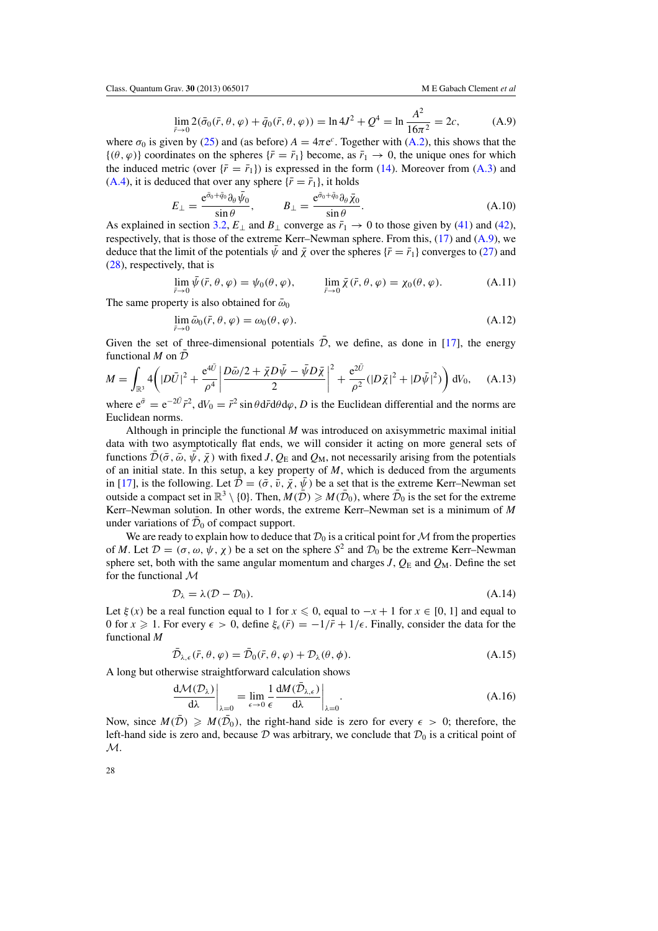$$
\lim_{\bar{r}\to 0} 2(\bar{\sigma}_0(\bar{r}, \theta, \varphi) + \bar{q}_0(\bar{r}, \theta, \varphi)) = \ln 4J^2 + Q^4 = \ln \frac{A^2}{16\pi^2} = 2c,\tag{A.9}
$$

where  $\sigma_0$  is given by [\(25\)](#page-8-0) and (as before)  $A = 4\pi e^c$ . Together with [\(A.2\)](#page-27-0), this shows that the  $\{(\theta, \varphi)\}\)$  coordinates on the spheres  $\{\bar{r} = \bar{r}_1\}\)$  become, as  $\bar{r}_1 \to 0$ , the unique ones for which the induced metric (over  $\{\bar{r} = \bar{r}_1\}$ ) is expressed in the form [\(14\)](#page-6-0). Moreover from [\(A.3\)](#page-27-0) and [\(A.4\)](#page-27-0), it is deduced that over any sphere  $\{\bar{r} = \bar{r}_1\}$ , it holds

$$
E_{\perp} = \frac{e^{\bar{\sigma}_0 + \bar{q}_0} \partial_\theta \bar{\psi}_0}{\sin \theta}, \qquad B_{\perp} = \frac{e^{\bar{\sigma}_0 + \bar{q}_0} \partial_\theta \bar{\chi}_0}{\sin \theta}.
$$
 (A.10)

As explained in section [3.2,](#page-10-0)  $E_{\perp}$  and  $B_{\perp}$  converge as  $\bar{r}_1 \rightarrow 0$  to those given by [\(41\)](#page-12-0) and [\(42\)](#page-12-0), respectively, that is those of the extreme Kerr–Newman sphere. From this, [\(17\)](#page-7-0) and (A.9), we deduce that the limit of the potentials  $\bar{\psi}$  and  $\bar{\chi}$  over the spheres { $\bar{r} = \bar{r}_1$ } converges to [\(27\)](#page-8-0) and [\(28\)](#page-9-0), respectively, that is

$$
\lim_{\bar{r}\to 0} \bar{\psi}(\bar{r},\theta,\varphi) = \psi_0(\theta,\varphi), \qquad \lim_{\bar{r}\to 0} \bar{\chi}(\bar{r},\theta,\varphi) = \chi_0(\theta,\varphi). \tag{A.11}
$$

The same property is also obtained for  $\bar{\omega}_0$ 

$$
\lim_{\bar{r}\to 0} \bar{\omega}_0(\bar{r}, \theta, \varphi) = \omega_0(\theta, \varphi). \tag{A.12}
$$

Given the set of three-dimensional potentials  $\overline{D}$ , we define, as done in [\[17\]](#page-29-0), the energy functional  $M$  on  $D$ 

$$
M = \int_{\mathbb{R}^3} 4\left(|D\bar{U}|^2 + \frac{e^{4\bar{U}}}{\rho^4} \left| \frac{D\bar{\omega}/2 + \bar{\chi}D\bar{\psi} - \bar{\psi}D\bar{\chi}}{2} \right|^2 + \frac{e^{2\bar{U}}}{\rho^2} (|D\bar{\chi}|^2 + |D\bar{\psi}|^2) \right) dV_0, \quad (A.13)
$$

where  $e^{\bar{\sigma}} = e^{-2U} \bar{r}^2$ ,  $dV_0 = \bar{r}^2 \sin \theta d\bar{r} d\theta d\varphi$ , *D* is the Euclidean differential and the norms are Euclidean norms.

Although in principle the functional *M* was introduced on axisymmetric maximal initial data with two asymptotically flat ends, we will consider it acting on more general sets of functions  $\mathcal{D}(\bar{\sigma}, \bar{\omega}, \psi, \bar{\chi})$  with fixed *J*,  $Q_E$  and  $Q_M$ , not necessarily arising from the potentials of an initial state. In this setup, a key property of *M*, which is deduced from the arguments in [\[17\]](#page-29-0), is the following. Let  $\bar{\mathcal{D}} = (\bar{\sigma}, \bar{v}, \bar{\chi}, \bar{\psi})$  be a set that is the extreme Kerr–Newman set outside a compact set in  $\mathbb{R}^3 \setminus \{0\}$ . Then,  $M(\overline{\mathcal{D}}) \geq M(\overline{\mathcal{D}}_0)$ , where  $\overline{\mathcal{D}}_0$  is the set for the extreme Kerr–Newman solution. In other words, the extreme Kerr–Newman set is a minimum of *M* under variations of  $\mathcal{D}_0$  of compact support.

We are ready to explain how to deduce that  $\mathcal{D}_0$  is a critical point for M from the properties of *M*. Let  $\mathcal{D} = (\sigma, \omega, \psi, \chi)$  be a set on the sphere  $S^2$  and  $\mathcal{D}_0$  be the extreme Kerr–Newman sphere set, both with the same angular momentum and charges  $J$ ,  $Q_E$  and  $Q_M$ . Define the set for the functional M

$$
\mathcal{D}_{\lambda} = \lambda(\mathcal{D} - \mathcal{D}_0). \tag{A.14}
$$

Let  $\xi(x)$  be a real function equal to 1 for  $x \le 0$ , equal to  $-x+1$  for  $x \in [0, 1]$  and equal to 0 for  $x \ge 1$ . For every  $\epsilon > 0$ , define  $\xi_{\epsilon}(\bar{r}) = -1/\bar{r} + 1/\epsilon$ . Finally, consider the data for the functional *M*

$$
\mathcal{D}_{\lambda,\epsilon}(\bar{r},\theta,\varphi)=\mathcal{D}_0(\bar{r},\theta,\varphi)+\mathcal{D}_\lambda(\theta,\phi). \tag{A.15}
$$

A long but otherwise straightforward calculation shows

$$
\frac{d\mathcal{M}(\mathcal{D}_{\lambda})}{d\lambda}\bigg|_{\lambda=0} = \lim_{\epsilon \to 0} \frac{1}{\epsilon} \frac{d\mathcal{M}(\bar{\mathcal{D}}_{\lambda,\epsilon})}{d\lambda}\bigg|_{\lambda=0}.
$$
\n(A.16)

Now, since  $M(D) \ge M(D_0)$ , the right-hand side is zero for every  $\epsilon > 0$ ; therefore, the left-hand side is zero and, because  $D$  was arbitrary, we conclude that  $D_0$  is a critical point of  $\mathcal{M}.$